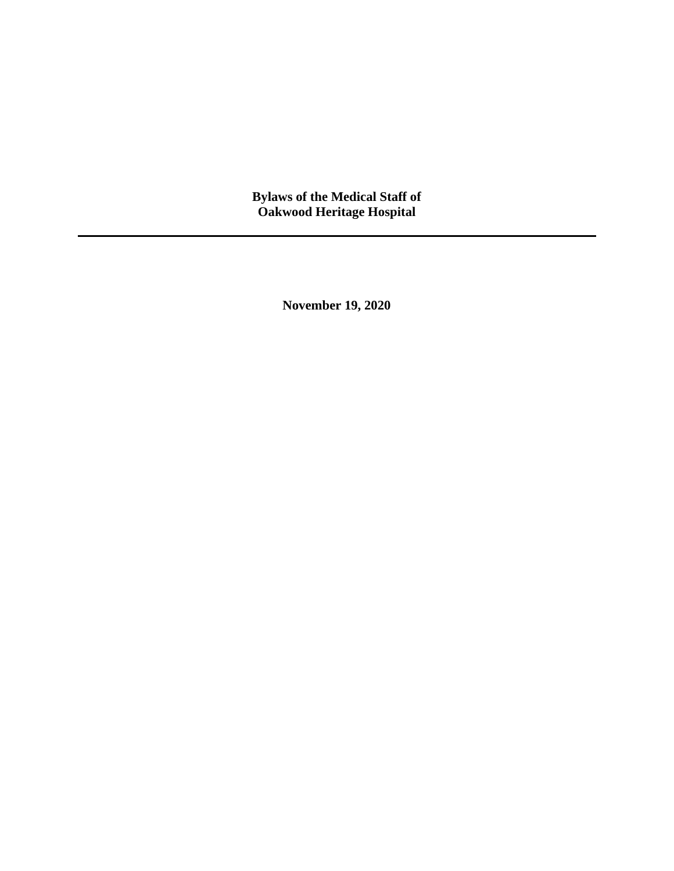**Bylaws of the Medical Staff of Oakwood Heritage Hospital**

**November 19, 2020**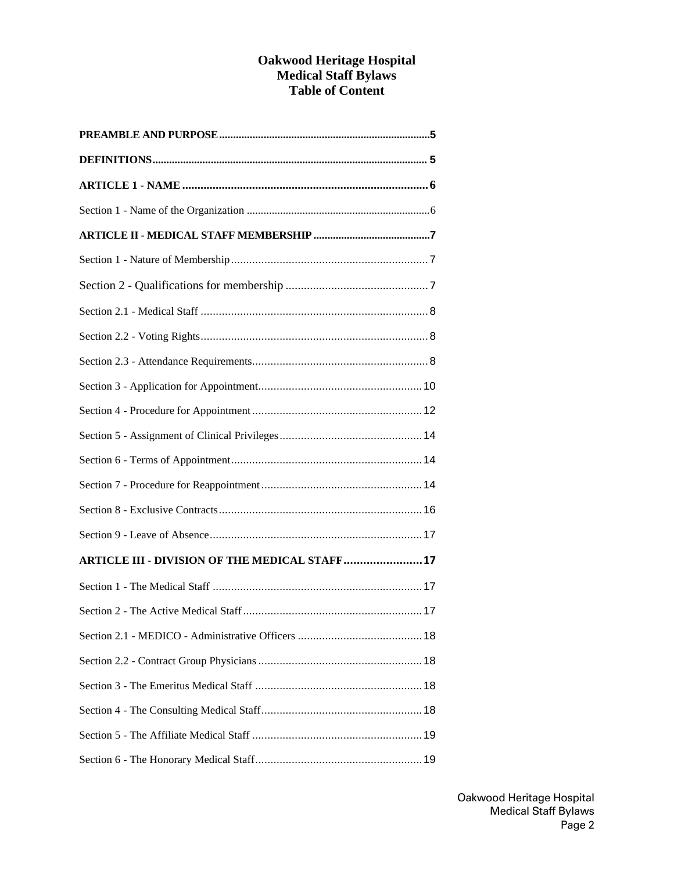### **Oakwood Heritage Hospital Medical Staff Bylaws Table of Content**

| <b>ARTICLE III - DIVISION OF THE MEDICAL STAFF 17</b> |
|-------------------------------------------------------|
|                                                       |
|                                                       |
|                                                       |
|                                                       |
|                                                       |
|                                                       |
|                                                       |
|                                                       |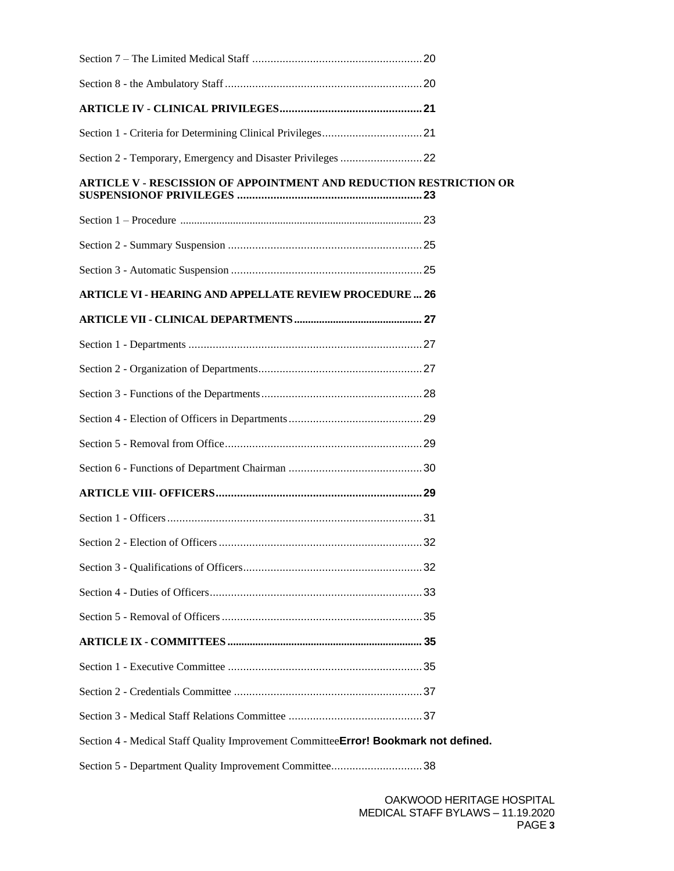| Section 2 - Temporary, Emergency and Disaster Privileges  22                        |  |  |
|-------------------------------------------------------------------------------------|--|--|
| <b>ARTICLE V - RESCISSION OF APPOINTMENT AND REDUCTION RESTRICTION OR</b>           |  |  |
|                                                                                     |  |  |
|                                                                                     |  |  |
|                                                                                     |  |  |
| <b>ARTICLE VI - HEARING AND APPELLATE REVIEW PROCEDURE  26</b>                      |  |  |
|                                                                                     |  |  |
|                                                                                     |  |  |
|                                                                                     |  |  |
|                                                                                     |  |  |
|                                                                                     |  |  |
|                                                                                     |  |  |
|                                                                                     |  |  |
|                                                                                     |  |  |
|                                                                                     |  |  |
|                                                                                     |  |  |
|                                                                                     |  |  |
|                                                                                     |  |  |
|                                                                                     |  |  |
|                                                                                     |  |  |
|                                                                                     |  |  |
|                                                                                     |  |  |
|                                                                                     |  |  |
| Section 4 - Medical Staff Quality Improvement CommitteeError! Bookmark not defined. |  |  |
| Section 5 - Department Quality Improvement Committee38                              |  |  |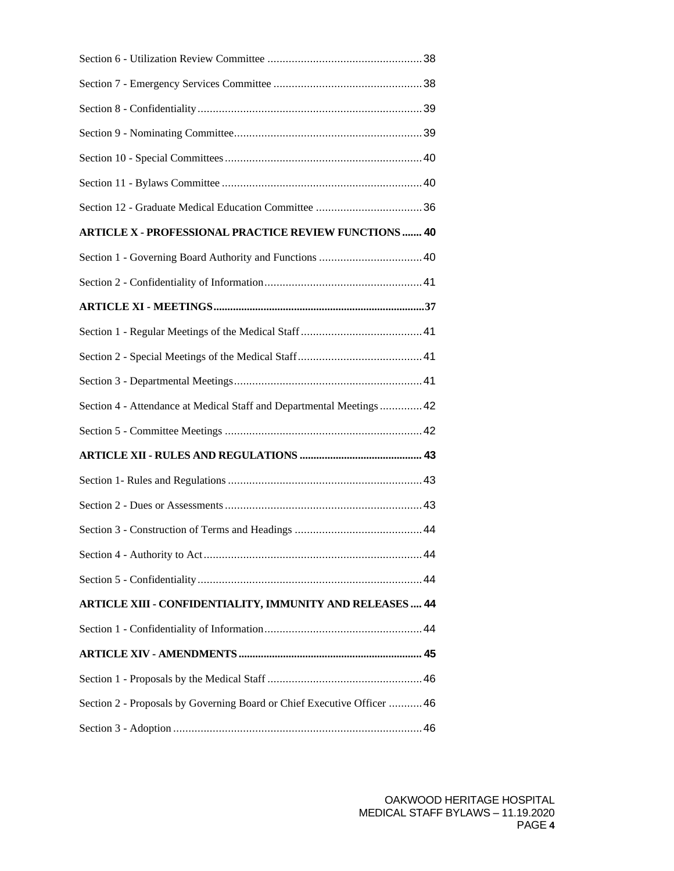| <b>ARTICLE X - PROFESSIONAL PRACTICE REVIEW FUNCTIONS  40</b>           |  |
|-------------------------------------------------------------------------|--|
|                                                                         |  |
|                                                                         |  |
|                                                                         |  |
|                                                                         |  |
|                                                                         |  |
|                                                                         |  |
| Section 4 - Attendance at Medical Staff and Departmental Meetings  42   |  |
|                                                                         |  |
|                                                                         |  |
|                                                                         |  |
|                                                                         |  |
|                                                                         |  |
|                                                                         |  |
|                                                                         |  |
| ARTICLE XIII - CONFIDENTIALITY, IMMUNITY AND RELEASES  44               |  |
|                                                                         |  |
|                                                                         |  |
|                                                                         |  |
| Section 2 - Proposals by Governing Board or Chief Executive Officer  46 |  |
|                                                                         |  |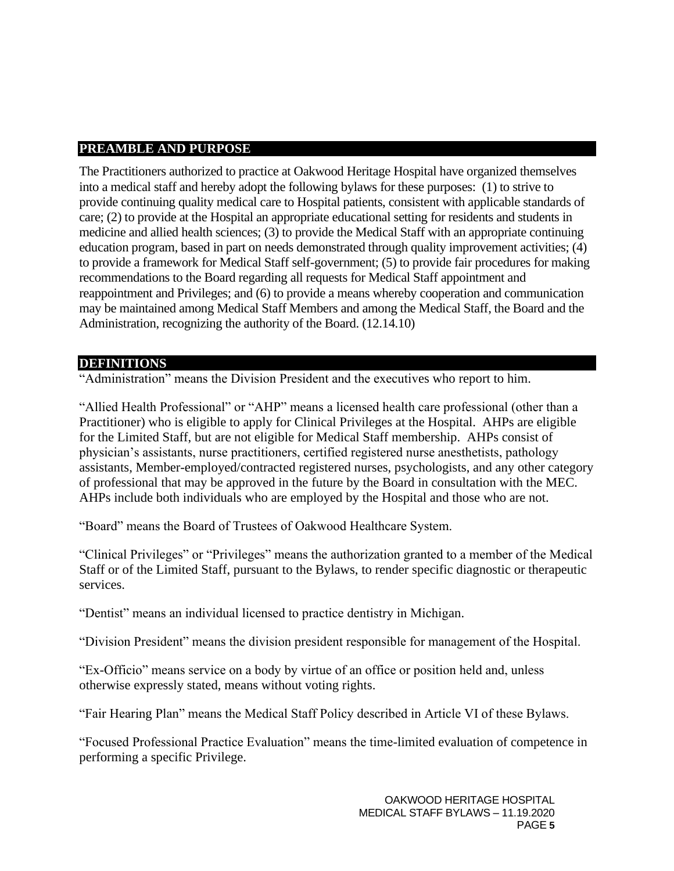## <span id="page-4-0"></span>**PREAMBLE AND PURPOSE**

The Practitioners authorized to practice at Oakwood Heritage Hospital have organized themselves into a medical staff and hereby adopt the following bylaws for these purposes: (1) to strive to provide continuing quality medical care to Hospital patients, consistent with applicable standards of care; (2) to provide at the Hospital an appropriate educational setting for residents and students in medicine and allied health sciences; (3) to provide the Medical Staff with an appropriate continuing education program, based in part on needs demonstrated through quality improvement activities; (4) to provide a framework for Medical Staff self-government; (5) to provide fair procedures for making recommendations to the Board regarding all requests for Medical Staff appointment and reappointment and Privileges; and (6) to provide a means whereby cooperation and communication may be maintained among Medical Staff Members and among the Medical Staff, the Board and the Administration, recognizing the authority of the Board. (12.14.10)

### **DEFINITIONS**

"Administration" means the Division President and the executives who report to him.

"Allied Health Professional" or "AHP" means a licensed health care professional (other than a Practitioner) who is eligible to apply for Clinical Privileges at the Hospital. AHPs are eligible for the Limited Staff, but are not eligible for Medical Staff membership. AHPs consist of physician's assistants, nurse practitioners, certified registered nurse anesthetists, pathology assistants, Member-employed/contracted registered nurses, psychologists, and any other category of professional that may be approved in the future by the Board in consultation with the MEC. AHPs include both individuals who are employed by the Hospital and those who are not.

"Board" means the Board of Trustees of Oakwood Healthcare System.

"Clinical Privileges" or "Privileges" means the authorization granted to a member of the Medical Staff or of the Limited Staff, pursuant to the Bylaws, to render specific diagnostic or therapeutic services.

"Dentist" means an individual licensed to practice dentistry in Michigan.

"Division President" means the division president responsible for management of the Hospital.

"Ex-Officio" means service on a body by virtue of an office or position held and, unless otherwise expressly stated, means without voting rights.

"Fair Hearing Plan" means the Medical Staff Policy described in Article VI of these Bylaws.

"Focused Professional Practice Evaluation" means the time-limited evaluation of competence in performing a specific Privilege.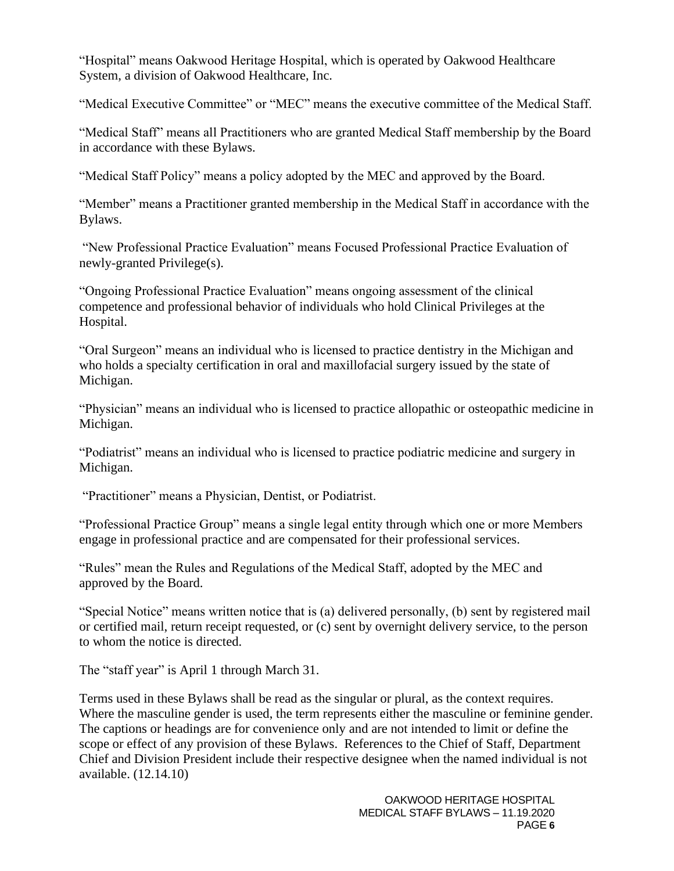"Hospital" means Oakwood Heritage Hospital, which is operated by Oakwood Healthcare System, a division of Oakwood Healthcare, Inc.

"Medical Executive Committee" or "MEC" means the executive committee of the Medical Staff.

"Medical Staff" means all Practitioners who are granted Medical Staff membership by the Board in accordance with these Bylaws.

"Medical Staff Policy" means a policy adopted by the MEC and approved by the Board.

"Member" means a Practitioner granted membership in the Medical Staff in accordance with the Bylaws.

"New Professional Practice Evaluation" means Focused Professional Practice Evaluation of newly-granted Privilege(s).

"Ongoing Professional Practice Evaluation" means ongoing assessment of the clinical competence and professional behavior of individuals who hold Clinical Privileges at the Hospital.

"Oral Surgeon" means an individual who is licensed to practice dentistry in the Michigan and who holds a specialty certification in oral and maxillofacial surgery issued by the state of Michigan.

"Physician" means an individual who is licensed to practice allopathic or osteopathic medicine in Michigan.

"Podiatrist" means an individual who is licensed to practice podiatric medicine and surgery in Michigan.

"Practitioner" means a Physician, Dentist, or Podiatrist.

"Professional Practice Group" means a single legal entity through which one or more Members engage in professional practice and are compensated for their professional services.

"Rules" mean the Rules and Regulations of the Medical Staff, adopted by the MEC and approved by the Board.

"Special Notice" means written notice that is (a) delivered personally, (b) sent by registered mail or certified mail, return receipt requested, or (c) sent by overnight delivery service, to the person to whom the notice is directed.

The "staff year" is April 1 through March 31.

Terms used in these Bylaws shall be read as the singular or plural, as the context requires. Where the masculine gender is used, the term represents either the masculine or feminine gender. The captions or headings are for convenience only and are not intended to limit or define the scope or effect of any provision of these Bylaws. References to the Chief of Staff, Department Chief and Division President include their respective designee when the named individual is not available. (12.14.10)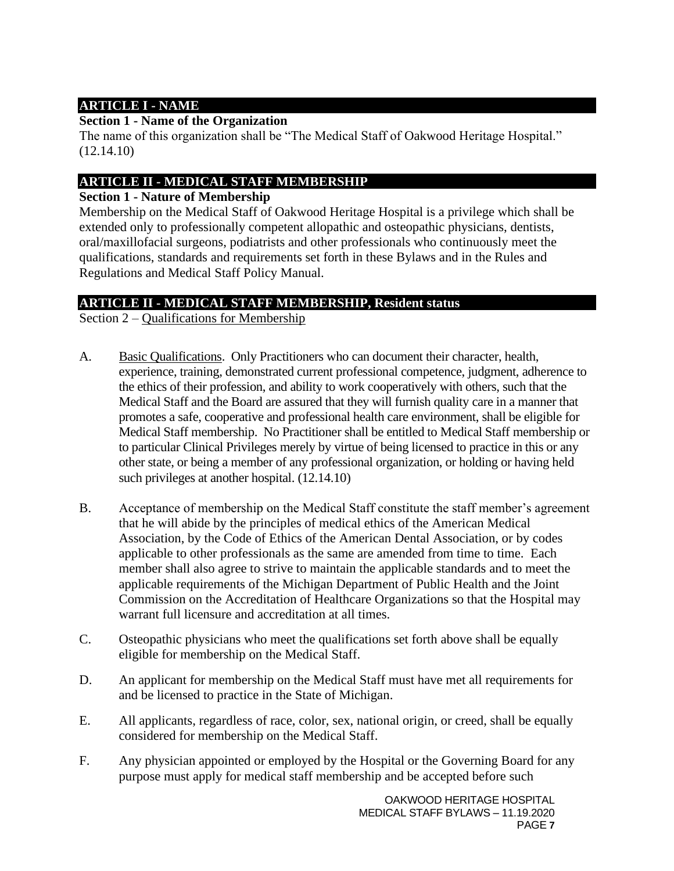# **ARTICLE I - NAME**

## **Section 1 - Name of the Organization**

The name of this organization shall be "The Medical Staff of Oakwood Heritage Hospital." (12.14.10)

## <span id="page-6-0"></span>**ARTICLE II - MEDICAL STAFF MEMBERSHIP**

## <span id="page-6-1"></span>**Section 1 - Nature of Membership**

Membership on the Medical Staff of Oakwood Heritage Hospital is a privilege which shall be extended only to professionally competent allopathic and osteopathic physicians, dentists, oral/maxillofacial surgeons, podiatrists and other professionals who continuously meet the qualifications, standards and requirements set forth in these Bylaws and in the Rules and Regulations and Medical Staff Policy Manual.

# **ARTICLE II - MEDICAL STAFF MEMBERSHIP, Resident status**

Section 2 – Qualifications for Membership

- A. Basic Qualifications. Only Practitioners who can document their character, health, experience, training, demonstrated current professional competence, judgment, adherence to the ethics of their profession, and ability to work cooperatively with others, such that the Medical Staff and the Board are assured that they will furnish quality care in a manner that promotes a safe, cooperative and professional health care environment, shall be eligible for Medical Staff membership. No Practitioner shall be entitled to Medical Staff membership or to particular Clinical Privileges merely by virtue of being licensed to practice in this or any other state, or being a member of any professional organization, or holding or having held such privileges at another hospital. (12.14.10)
- B. Acceptance of membership on the Medical Staff constitute the staff member's agreement that he will abide by the principles of medical ethics of the American Medical Association, by the Code of Ethics of the American Dental Association, or by codes applicable to other professionals as the same are amended from time to time. Each member shall also agree to strive to maintain the applicable standards and to meet the applicable requirements of the Michigan Department of Public Health and the Joint Commission on the Accreditation of Healthcare Organizations so that the Hospital may warrant full licensure and accreditation at all times.
- C. Osteopathic physicians who meet the qualifications set forth above shall be equally eligible for membership on the Medical Staff.
- D. An applicant for membership on the Medical Staff must have met all requirements for and be licensed to practice in the State of Michigan.
- E. All applicants, regardless of race, color, sex, national origin, or creed, shall be equally considered for membership on the Medical Staff.
- F. Any physician appointed or employed by the Hospital or the Governing Board for any purpose must apply for medical staff membership and be accepted before such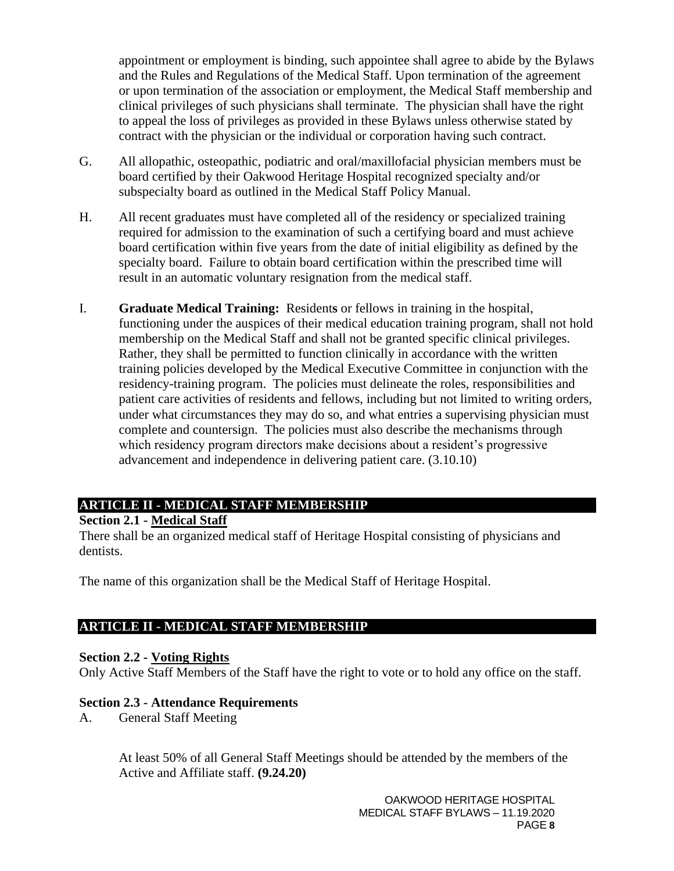appointment or employment is binding, such appointee shall agree to abide by the Bylaws and the Rules and Regulations of the Medical Staff. Upon termination of the agreement or upon termination of the association or employment, the Medical Staff membership and clinical privileges of such physicians shall terminate. The physician shall have the right to appeal the loss of privileges as provided in these Bylaws unless otherwise stated by contract with the physician or the individual or corporation having such contract.

- G. All allopathic, osteopathic, podiatric and oral/maxillofacial physician members must be board certified by their Oakwood Heritage Hospital recognized specialty and/or subspecialty board as outlined in the Medical Staff Policy Manual.
- H. All recent graduates must have completed all of the residency or specialized training required for admission to the examination of such a certifying board and must achieve board certification within five years from the date of initial eligibility as defined by the specialty board. Failure to obtain board certification within the prescribed time will result in an automatic voluntary resignation from the medical staff.
- I. **Graduate Medical Training:** Resident**s** or fellows in training in the hospital, functioning under the auspices of their medical education training program, shall not hold membership on the Medical Staff and shall not be granted specific clinical privileges. Rather, they shall be permitted to function clinically in accordance with the written training policies developed by the Medical Executive Committee in conjunction with the residency-training program. The policies must delineate the roles, responsibilities and patient care activities of residents and fellows, including but not limited to writing orders, under what circumstances they may do so, and what entries a supervising physician must complete and countersign. The policies must also describe the mechanisms through which residency program directors make decisions about a resident's progressive advancement and independence in delivering patient care. (3.10.10)

## **ARTICLE II - MEDICAL STAFF MEMBERSHIP**

#### <span id="page-7-0"></span>**Section 2.1 - Medical Staff**

There shall be an organized medical staff of Heritage Hospital consisting of physicians and dentists.

The name of this organization shall be the Medical Staff of Heritage Hospital.

### **ARTICLE II - MEDICAL STAFF MEMBERSHIP**

### <span id="page-7-1"></span>**Section 2.2 - Voting Rights**

Only Active Staff Members of the Staff have the right to vote or to hold any office on the staff.

### <span id="page-7-2"></span>**Section 2.3 - Attendance Requirements**

A. General Staff Meeting

At least 50% of all General Staff Meetings should be attended by the members of the Active and Affiliate staff. **(9.24.20)**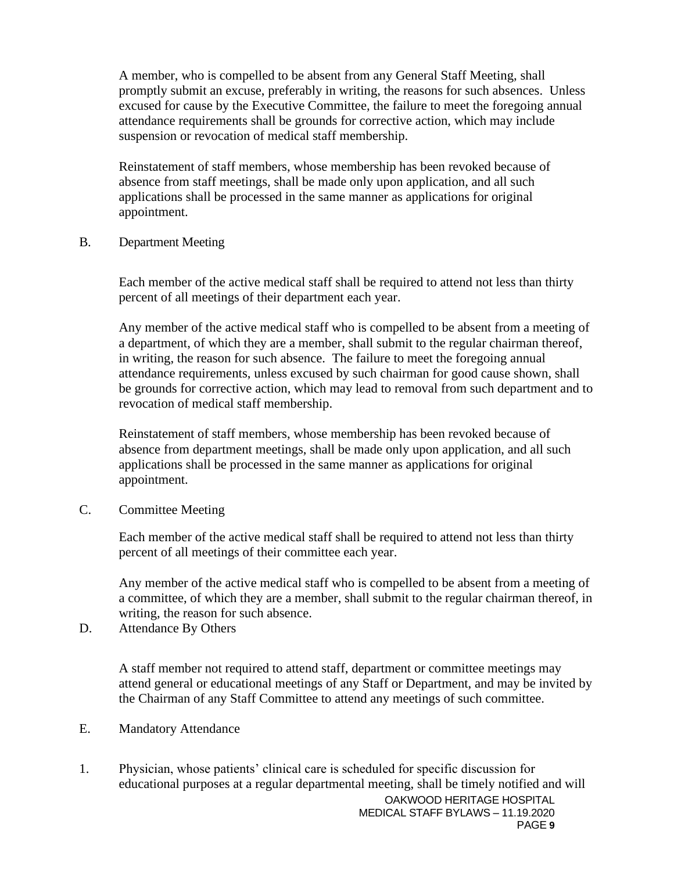A member, who is compelled to be absent from any General Staff Meeting, shall promptly submit an excuse, preferably in writing, the reasons for such absences. Unless excused for cause by the Executive Committee, the failure to meet the foregoing annual attendance requirements shall be grounds for corrective action, which may include suspension or revocation of medical staff membership.

Reinstatement of staff members, whose membership has been revoked because of absence from staff meetings, shall be made only upon application, and all such applications shall be processed in the same manner as applications for original appointment.

B. Department Meeting

Each member of the active medical staff shall be required to attend not less than thirty percent of all meetings of their department each year.

Any member of the active medical staff who is compelled to be absent from a meeting of a department, of which they are a member, shall submit to the regular chairman thereof, in writing, the reason for such absence. The failure to meet the foregoing annual attendance requirements, unless excused by such chairman for good cause shown, shall be grounds for corrective action, which may lead to removal from such department and to revocation of medical staff membership.

Reinstatement of staff members, whose membership has been revoked because of absence from department meetings, shall be made only upon application, and all such applications shall be processed in the same manner as applications for original appointment.

C. Committee Meeting

Each member of the active medical staff shall be required to attend not less than thirty percent of all meetings of their committee each year.

Any member of the active medical staff who is compelled to be absent from a meeting of a committee, of which they are a member, shall submit to the regular chairman thereof, in writing, the reason for such absence.

D. Attendance By Others

A staff member not required to attend staff, department or committee meetings may attend general or educational meetings of any Staff or Department, and may be invited by the Chairman of any Staff Committee to attend any meetings of such committee.

E. Mandatory Attendance

OAKWOOD HERITAGE HOSPITAL 1. Physician, whose patients' clinical care is scheduled for specific discussion for educational purposes at a regular departmental meeting, shall be timely notified and will

MEDICAL STAFF BYLAWS – 11.19.2020 PAGE **9**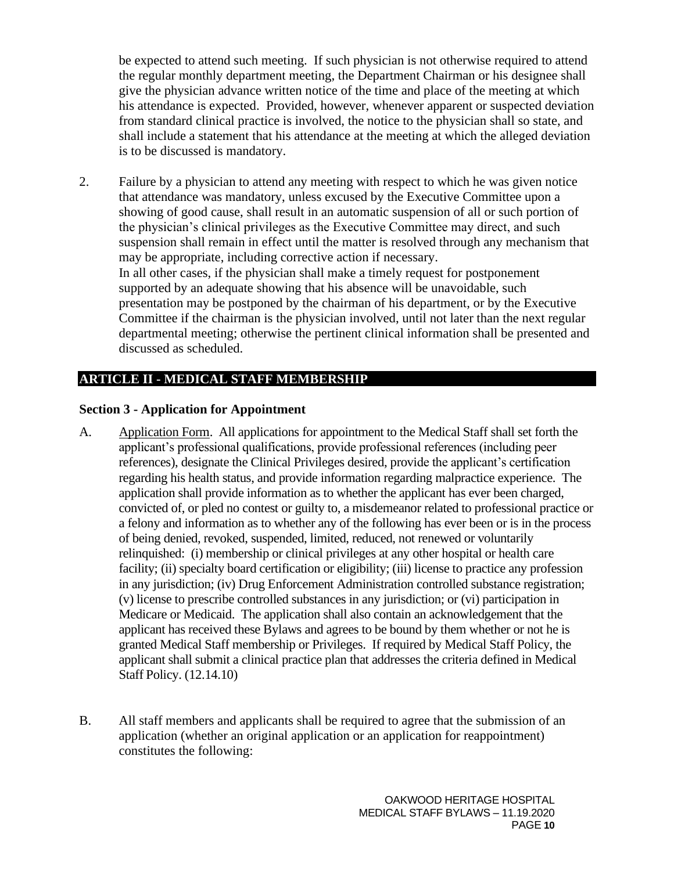be expected to attend such meeting. If such physician is not otherwise required to attend the regular monthly department meeting, the Department Chairman or his designee shall give the physician advance written notice of the time and place of the meeting at which his attendance is expected. Provided, however, whenever apparent or suspected deviation from standard clinical practice is involved, the notice to the physician shall so state, and shall include a statement that his attendance at the meeting at which the alleged deviation is to be discussed is mandatory.

2. Failure by a physician to attend any meeting with respect to which he was given notice that attendance was mandatory, unless excused by the Executive Committee upon a showing of good cause, shall result in an automatic suspension of all or such portion of the physician's clinical privileges as the Executive Committee may direct, and such suspension shall remain in effect until the matter is resolved through any mechanism that may be appropriate, including corrective action if necessary. In all other cases, if the physician shall make a timely request for postponement supported by an adequate showing that his absence will be unavoidable, such presentation may be postponed by the chairman of his department, or by the Executive Committee if the chairman is the physician involved, until not later than the next regular departmental meeting; otherwise the pertinent clinical information shall be presented and discussed as scheduled.

## **ARTICLE II - MEDICAL STAFF MEMBERSHIP**

#### <span id="page-9-0"></span>**Section 3 - Application for Appointment**

- A. Application Form. All applications for appointment to the Medical Staff shall set forth the applicant's professional qualifications, provide professional references (including peer references), designate the Clinical Privileges desired, provide the applicant's certification regarding his health status, and provide information regarding malpractice experience. The application shall provide information as to whether the applicant has ever been charged, convicted of, or pled no contest or guilty to, a misdemeanor related to professional practice or a felony and information as to whether any of the following has ever been or is in the process of being denied, revoked, suspended, limited, reduced, not renewed or voluntarily relinquished: (i) membership or clinical privileges at any other hospital or health care facility; (ii) specialty board certification or eligibility; (iii) license to practice any profession in any jurisdiction; (iv) Drug Enforcement Administration controlled substance registration; (v) license to prescribe controlled substances in any jurisdiction; or (vi) participation in Medicare or Medicaid. The application shall also contain an acknowledgement that the applicant has received these Bylaws and agrees to be bound by them whether or not he is granted Medical Staff membership or Privileges. If required by Medical Staff Policy, the applicant shall submit a clinical practice plan that addresses the criteria defined in Medical Staff Policy. (12.14.10)
- B. All staff members and applicants shall be required to agree that the submission of an application (whether an original application or an application for reappointment) constitutes the following: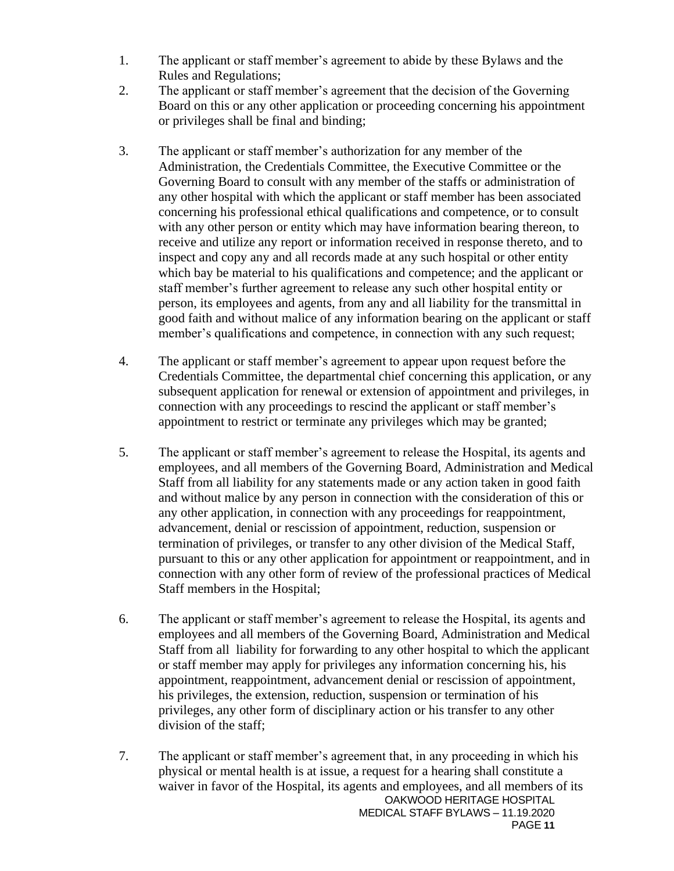- 1. The applicant or staff member's agreement to abide by these Bylaws and the Rules and Regulations;
- 2. The applicant or staff member's agreement that the decision of the Governing Board on this or any other application or proceeding concerning his appointment or privileges shall be final and binding;
- 3. The applicant or staff member's authorization for any member of the Administration, the Credentials Committee, the Executive Committee or the Governing Board to consult with any member of the staffs or administration of any other hospital with which the applicant or staff member has been associated concerning his professional ethical qualifications and competence, or to consult with any other person or entity which may have information bearing thereon, to receive and utilize any report or information received in response thereto, and to inspect and copy any and all records made at any such hospital or other entity which bay be material to his qualifications and competence; and the applicant or staff member's further agreement to release any such other hospital entity or person, its employees and agents, from any and all liability for the transmittal in good faith and without malice of any information bearing on the applicant or staff member's qualifications and competence, in connection with any such request;
- 4. The applicant or staff member's agreement to appear upon request before the Credentials Committee, the departmental chief concerning this application, or any subsequent application for renewal or extension of appointment and privileges, in connection with any proceedings to rescind the applicant or staff member's appointment to restrict or terminate any privileges which may be granted;
- 5. The applicant or staff member's agreement to release the Hospital, its agents and employees, and all members of the Governing Board, Administration and Medical Staff from all liability for any statements made or any action taken in good faith and without malice by any person in connection with the consideration of this or any other application, in connection with any proceedings for reappointment, advancement, denial or rescission of appointment, reduction, suspension or termination of privileges, or transfer to any other division of the Medical Staff, pursuant to this or any other application for appointment or reappointment, and in connection with any other form of review of the professional practices of Medical Staff members in the Hospital;
- 6. The applicant or staff member's agreement to release the Hospital, its agents and employees and all members of the Governing Board, Administration and Medical Staff from all liability for forwarding to any other hospital to which the applicant or staff member may apply for privileges any information concerning his, his appointment, reappointment, advancement denial or rescission of appointment, his privileges, the extension, reduction, suspension or termination of his privileges, any other form of disciplinary action or his transfer to any other division of the staff;
- OAKWOOD HERITAGE HOSPITAL MEDICAL STAFF BYLAWS – 11.19.2020 PAGE **11** 7. The applicant or staff member's agreement that, in any proceeding in which his physical or mental health is at issue, a request for a hearing shall constitute a waiver in favor of the Hospital, its agents and employees, and all members of its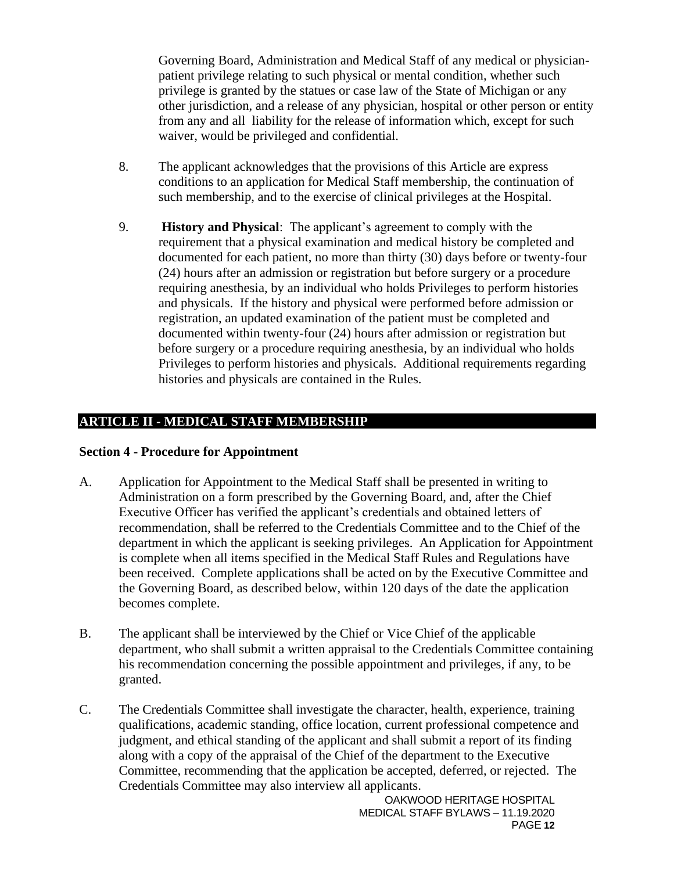Governing Board, Administration and Medical Staff of any medical or physicianpatient privilege relating to such physical or mental condition, whether such privilege is granted by the statues or case law of the State of Michigan or any other jurisdiction, and a release of any physician, hospital or other person or entity from any and all liability for the release of information which, except for such waiver, would be privileged and confidential.

- 8. The applicant acknowledges that the provisions of this Article are express conditions to an application for Medical Staff membership, the continuation of such membership, and to the exercise of clinical privileges at the Hospital.
- 9. **History and Physical**: The applicant's agreement to comply with the requirement that a physical examination and medical history be completed and documented for each patient, no more than thirty (30) days before or twenty-four (24) hours after an admission or registration but before surgery or a procedure requiring anesthesia, by an individual who holds Privileges to perform histories and physicals. If the history and physical were performed before admission or registration, an updated examination of the patient must be completed and documented within twenty-four (24) hours after admission or registration but before surgery or a procedure requiring anesthesia, by an individual who holds Privileges to perform histories and physicals. Additional requirements regarding histories and physicals are contained in the Rules.

## **ARTICLE II - MEDICAL STAFF MEMBERSHIP**

#### <span id="page-11-0"></span>**Section 4 - Procedure for Appointment**

- A. Application for Appointment to the Medical Staff shall be presented in writing to Administration on a form prescribed by the Governing Board, and, after the Chief Executive Officer has verified the applicant's credentials and obtained letters of recommendation, shall be referred to the Credentials Committee and to the Chief of the department in which the applicant is seeking privileges. An Application for Appointment is complete when all items specified in the Medical Staff Rules and Regulations have been received. Complete applications shall be acted on by the Executive Committee and the Governing Board, as described below, within 120 days of the date the application becomes complete.
- B. The applicant shall be interviewed by the Chief or Vice Chief of the applicable department, who shall submit a written appraisal to the Credentials Committee containing his recommendation concerning the possible appointment and privileges, if any, to be granted.
- C. The Credentials Committee shall investigate the character, health, experience, training qualifications, academic standing, office location, current professional competence and judgment, and ethical standing of the applicant and shall submit a report of its finding along with a copy of the appraisal of the Chief of the department to the Executive Committee, recommending that the application be accepted, deferred, or rejected. The Credentials Committee may also interview all applicants.

OAKWOOD HERITAGE HOSPITAL MEDICAL STAFF BYLAWS – 11.19.2020 PAGE **12**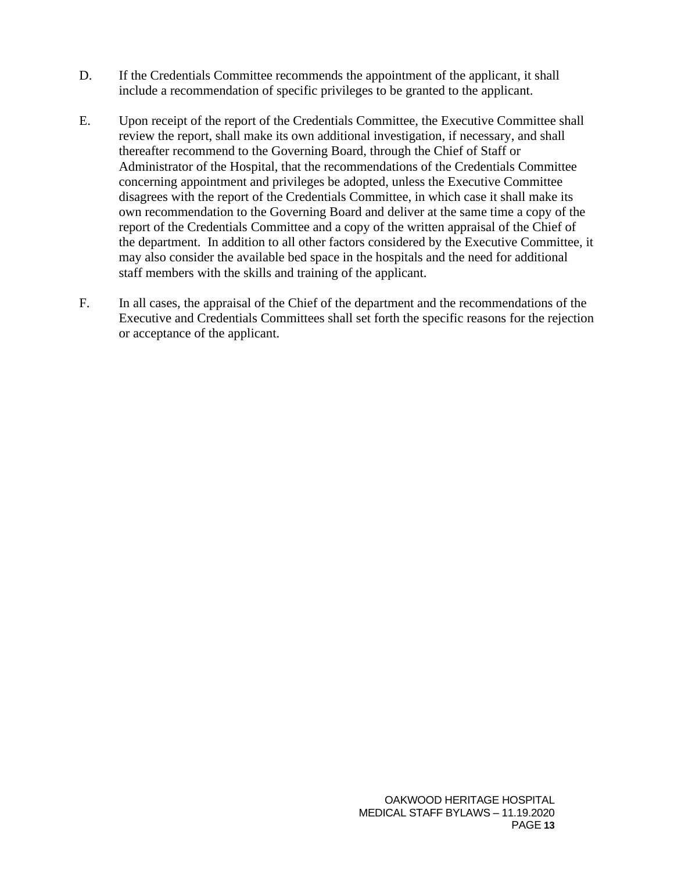- D. If the Credentials Committee recommends the appointment of the applicant, it shall include a recommendation of specific privileges to be granted to the applicant.
- E. Upon receipt of the report of the Credentials Committee, the Executive Committee shall review the report, shall make its own additional investigation, if necessary, and shall thereafter recommend to the Governing Board, through the Chief of Staff or Administrator of the Hospital, that the recommendations of the Credentials Committee concerning appointment and privileges be adopted, unless the Executive Committee disagrees with the report of the Credentials Committee, in which case it shall make its own recommendation to the Governing Board and deliver at the same time a copy of the report of the Credentials Committee and a copy of the written appraisal of the Chief of the department. In addition to all other factors considered by the Executive Committee, it may also consider the available bed space in the hospitals and the need for additional staff members with the skills and training of the applicant.
- F. In all cases, the appraisal of the Chief of the department and the recommendations of the Executive and Credentials Committees shall set forth the specific reasons for the rejection or acceptance of the applicant.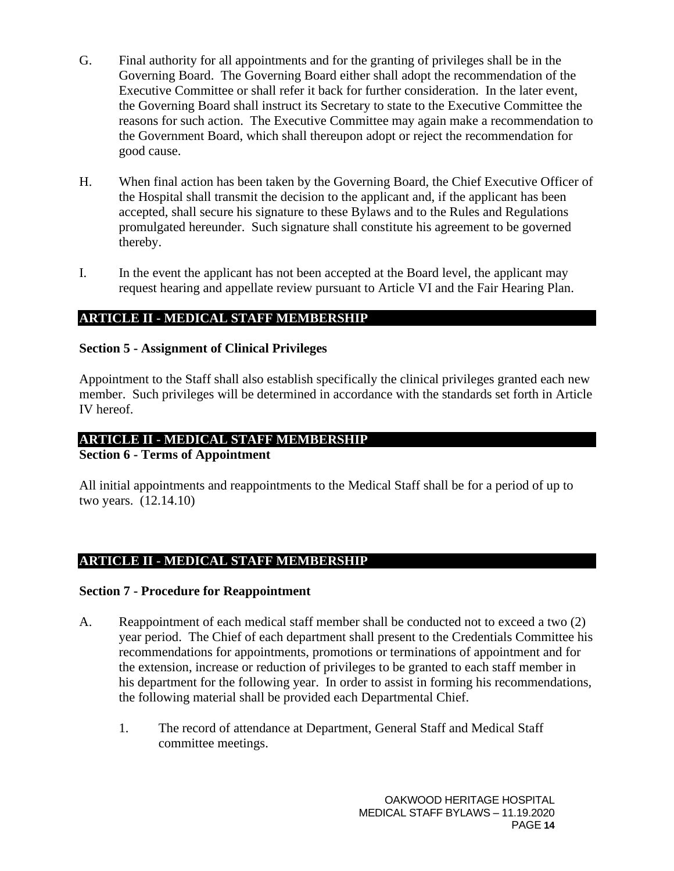- G. Final authority for all appointments and for the granting of privileges shall be in the Governing Board. The Governing Board either shall adopt the recommendation of the Executive Committee or shall refer it back for further consideration. In the later event, the Governing Board shall instruct its Secretary to state to the Executive Committee the reasons for such action. The Executive Committee may again make a recommendation to the Government Board, which shall thereupon adopt or reject the recommendation for good cause.
- H. When final action has been taken by the Governing Board, the Chief Executive Officer of the Hospital shall transmit the decision to the applicant and, if the applicant has been accepted, shall secure his signature to these Bylaws and to the Rules and Regulations promulgated hereunder. Such signature shall constitute his agreement to be governed thereby.
- I. In the event the applicant has not been accepted at the Board level, the applicant may request hearing and appellate review pursuant to Article VI and the Fair Hearing Plan.

## **ARTICLE II - MEDICAL STAFF MEMBERSHIP**

#### <span id="page-13-0"></span>**Section 5 - Assignment of Clinical Privileges**

Appointment to the Staff shall also establish specifically the clinical privileges granted each new member. Such privileges will be determined in accordance with the standards set forth in Article IV hereof.

### **ARTICLE II - MEDICAL STAFF MEMBERSHIP**

#### <span id="page-13-1"></span>**Section 6 - Terms of Appointment**

All initial appointments and reappointments to the Medical Staff shall be for a period of up to two years. (12.14.10)

### **ARTICLE II - MEDICAL STAFF MEMBERSHIP**

#### <span id="page-13-2"></span>**Section 7 - Procedure for Reappointment**

- A. Reappointment of each medical staff member shall be conducted not to exceed a two (2) year period. The Chief of each department shall present to the Credentials Committee his recommendations for appointments, promotions or terminations of appointment and for the extension, increase or reduction of privileges to be granted to each staff member in his department for the following year. In order to assist in forming his recommendations, the following material shall be provided each Departmental Chief.
	- 1. The record of attendance at Department, General Staff and Medical Staff committee meetings.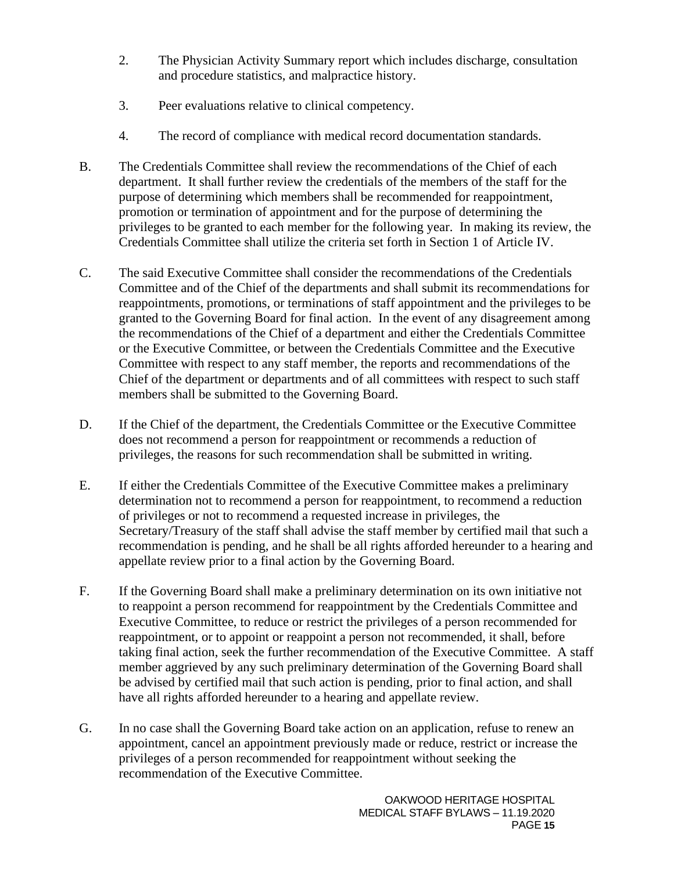- 2. The Physician Activity Summary report which includes discharge, consultation and procedure statistics, and malpractice history.
- 3. Peer evaluations relative to clinical competency.
- 4. The record of compliance with medical record documentation standards.
- B. The Credentials Committee shall review the recommendations of the Chief of each department. It shall further review the credentials of the members of the staff for the purpose of determining which members shall be recommended for reappointment, promotion or termination of appointment and for the purpose of determining the privileges to be granted to each member for the following year. In making its review, the Credentials Committee shall utilize the criteria set forth in Section 1 of Article IV.
- C. The said Executive Committee shall consider the recommendations of the Credentials Committee and of the Chief of the departments and shall submit its recommendations for reappointments, promotions, or terminations of staff appointment and the privileges to be granted to the Governing Board for final action. In the event of any disagreement among the recommendations of the Chief of a department and either the Credentials Committee or the Executive Committee, or between the Credentials Committee and the Executive Committee with respect to any staff member, the reports and recommendations of the Chief of the department or departments and of all committees with respect to such staff members shall be submitted to the Governing Board.
- D. If the Chief of the department, the Credentials Committee or the Executive Committee does not recommend a person for reappointment or recommends a reduction of privileges, the reasons for such recommendation shall be submitted in writing.
- E. If either the Credentials Committee of the Executive Committee makes a preliminary determination not to recommend a person for reappointment, to recommend a reduction of privileges or not to recommend a requested increase in privileges, the Secretary/Treasury of the staff shall advise the staff member by certified mail that such a recommendation is pending, and he shall be all rights afforded hereunder to a hearing and appellate review prior to a final action by the Governing Board.
- F. If the Governing Board shall make a preliminary determination on its own initiative not to reappoint a person recommend for reappointment by the Credentials Committee and Executive Committee, to reduce or restrict the privileges of a person recommended for reappointment, or to appoint or reappoint a person not recommended, it shall, before taking final action, seek the further recommendation of the Executive Committee. A staff member aggrieved by any such preliminary determination of the Governing Board shall be advised by certified mail that such action is pending, prior to final action, and shall have all rights afforded hereunder to a hearing and appellate review.
- G. In no case shall the Governing Board take action on an application, refuse to renew an appointment, cancel an appointment previously made or reduce, restrict or increase the privileges of a person recommended for reappointment without seeking the recommendation of the Executive Committee.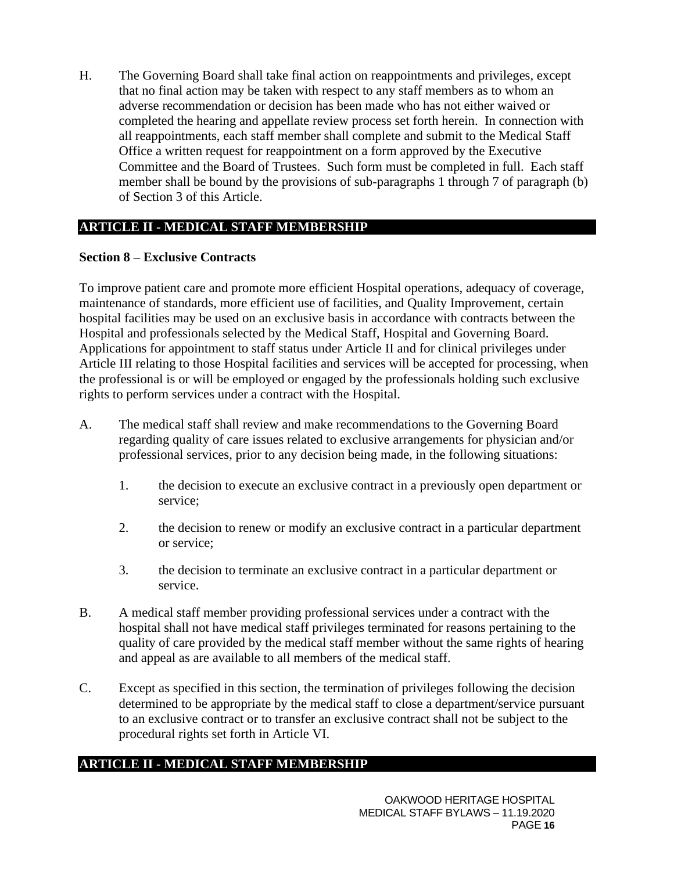H. The Governing Board shall take final action on reappointments and privileges, except that no final action may be taken with respect to any staff members as to whom an adverse recommendation or decision has been made who has not either waived or completed the hearing and appellate review process set forth herein. In connection with all reappointments, each staff member shall complete and submit to the Medical Staff Office a written request for reappointment on a form approved by the Executive Committee and the Board of Trustees. Such form must be completed in full. Each staff member shall be bound by the provisions of sub-paragraphs 1 through 7 of paragraph (b) of Section 3 of this Article.

## **ARTICLE II - MEDICAL STAFF MEMBERSHIP**

### **Section 8 – Exclusive Contracts**

To improve patient care and promote more efficient Hospital operations, adequacy of coverage, maintenance of standards, more efficient use of facilities, and Quality Improvement, certain hospital facilities may be used on an exclusive basis in accordance with contracts between the Hospital and professionals selected by the Medical Staff, Hospital and Governing Board. Applications for appointment to staff status under Article II and for clinical privileges under Article III relating to those Hospital facilities and services will be accepted for processing, when the professional is or will be employed or engaged by the professionals holding such exclusive rights to perform services under a contract with the Hospital.

- A. The medical staff shall review and make recommendations to the Governing Board regarding quality of care issues related to exclusive arrangements for physician and/or professional services, prior to any decision being made, in the following situations:
	- 1. the decision to execute an exclusive contract in a previously open department or service;
	- 2. the decision to renew or modify an exclusive contract in a particular department or service;
	- 3. the decision to terminate an exclusive contract in a particular department or service.
- B. A medical staff member providing professional services under a contract with the hospital shall not have medical staff privileges terminated for reasons pertaining to the quality of care provided by the medical staff member without the same rights of hearing and appeal as are available to all members of the medical staff.
- C. Except as specified in this section, the termination of privileges following the decision determined to be appropriate by the medical staff to close a department/service pursuant to an exclusive contract or to transfer an exclusive contract shall not be subject to the procedural rights set forth in Article VI.

### **ARTICLE II - MEDICAL STAFF MEMBERSHIP**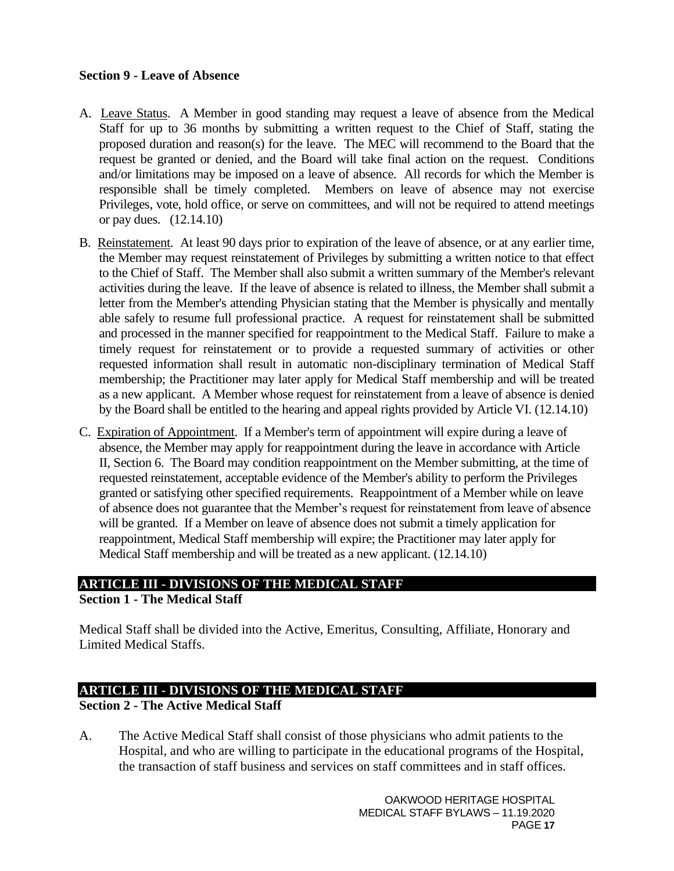### <span id="page-16-0"></span>**Section 9 - Leave of Absence**

- A. Leave Status. A Member in good standing may request a leave of absence from the Medical Staff for up to 36 months by submitting a written request to the Chief of Staff, stating the proposed duration and reason(s) for the leave. The MEC will recommend to the Board that the request be granted or denied, and the Board will take final action on the request. Conditions and/or limitations may be imposed on a leave of absence. All records for which the Member is responsible shall be timely completed. Members on leave of absence may not exercise Privileges, vote, hold office, or serve on committees, and will not be required to attend meetings or pay dues. (12.14.10)
- B. Reinstatement. At least 90 days prior to expiration of the leave of absence, or at any earlier time, the Member may request reinstatement of Privileges by submitting a written notice to that effect to the Chief of Staff. The Member shall also submit a written summary of the Member's relevant activities during the leave. If the leave of absence is related to illness, the Member shall submit a letter from the Member's attending Physician stating that the Member is physically and mentally able safely to resume full professional practice. A request for reinstatement shall be submitted and processed in the manner specified for reappointment to the Medical Staff. Failure to make a timely request for reinstatement or to provide a requested summary of activities or other requested information shall result in automatic non-disciplinary termination of Medical Staff membership; the Practitioner may later apply for Medical Staff membership and will be treated as a new applicant. A Member whose request for reinstatement from a leave of absence is denied by the Board shall be entitled to the hearing and appeal rights provided by Article VI. (12.14.10)
- C. Expiration of Appointment. If a Member's term of appointment will expire during a leave of absence, the Member may apply for reappointment during the leave in accordance with Article II, Section 6. The Board may condition reappointment on the Member submitting, at the time of requested reinstatement, acceptable evidence of the Member's ability to perform the Privileges granted or satisfying other specified requirements. Reappointment of a Member while on leave of absence does not guarantee that the Member's request for reinstatement from leave of absence will be granted. If a Member on leave of absence does not submit a timely application for reappointment, Medical Staff membership will expire; the Practitioner may later apply for Medical Staff membership and will be treated as a new applicant. (12.14.10)

# **ARTICLE III - DIVISIONS OF THE MEDICAL STAFF**

### <span id="page-16-1"></span>**Section 1 - The Medical Staff**

Medical Staff shall be divided into the Active, Emeritus, Consulting, Affiliate, Honorary and Limited Medical Staffs.

## **ARTICLE III - DIVISIONS OF THE MEDICAL STAFF**

### <span id="page-16-2"></span>**Section 2 - The Active Medical Staff**

A. The Active Medical Staff shall consist of those physicians who admit patients to the Hospital, and who are willing to participate in the educational programs of the Hospital, the transaction of staff business and services on staff committees and in staff offices.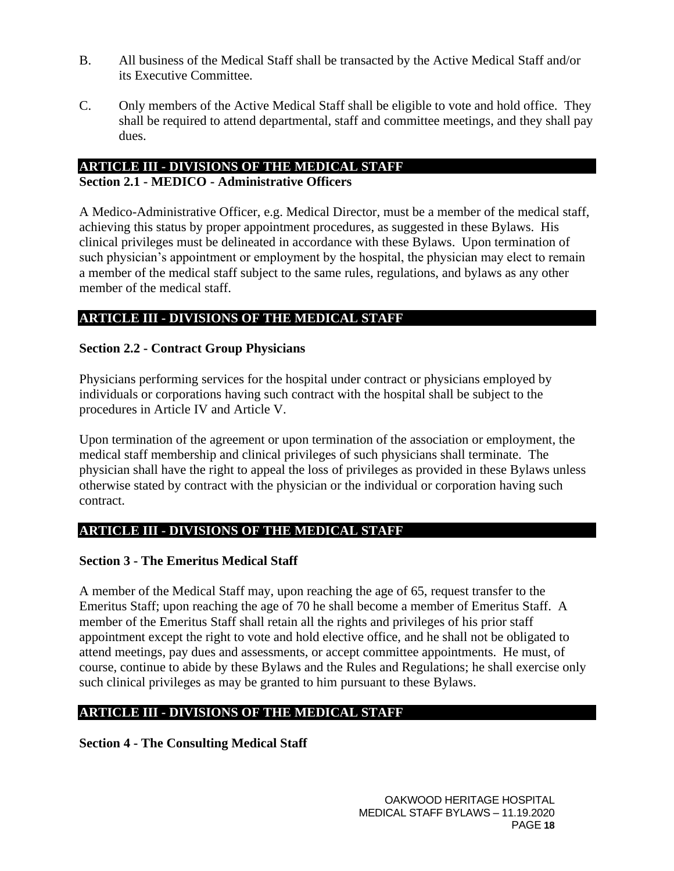- B. All business of the Medical Staff shall be transacted by the Active Medical Staff and/or its Executive Committee.
- C. Only members of the Active Medical Staff shall be eligible to vote and hold office. They shall be required to attend departmental, staff and committee meetings, and they shall pay dues.

# **ARTICLE III - DIVISIONS OF THE MEDICAL STAFF**

### <span id="page-17-0"></span>**Section 2.1 - MEDICO - Administrative Officers**

A Medico-Administrative Officer, e.g. Medical Director, must be a member of the medical staff, achieving this status by proper appointment procedures, as suggested in these Bylaws. His clinical privileges must be delineated in accordance with these Bylaws. Upon termination of such physician's appointment or employment by the hospital, the physician may elect to remain a member of the medical staff subject to the same rules, regulations, and bylaws as any other member of the medical staff.

## **ARTICLE III - DIVISIONS OF THE MEDICAL STAFF**

### <span id="page-17-1"></span>**Section 2.2 - Contract Group Physicians**

Physicians performing services for the hospital under contract or physicians employed by individuals or corporations having such contract with the hospital shall be subject to the procedures in Article IV and Article V.

Upon termination of the agreement or upon termination of the association or employment, the medical staff membership and clinical privileges of such physicians shall terminate. The physician shall have the right to appeal the loss of privileges as provided in these Bylaws unless otherwise stated by contract with the physician or the individual or corporation having such contract.

## **ARTICLE III - DIVISIONS OF THE MEDICAL STAFF**

### <span id="page-17-2"></span>**Section 3 - The Emeritus Medical Staff**

A member of the Medical Staff may, upon reaching the age of 65, request transfer to the Emeritus Staff; upon reaching the age of 70 he shall become a member of Emeritus Staff. A member of the Emeritus Staff shall retain all the rights and privileges of his prior staff appointment except the right to vote and hold elective office, and he shall not be obligated to attend meetings, pay dues and assessments, or accept committee appointments. He must, of course, continue to abide by these Bylaws and the Rules and Regulations; he shall exercise only such clinical privileges as may be granted to him pursuant to these Bylaws.

## **ARTICLE III - DIVISIONS OF THE MEDICAL STAFF**

### <span id="page-17-3"></span>**Section 4 - The Consulting Medical Staff**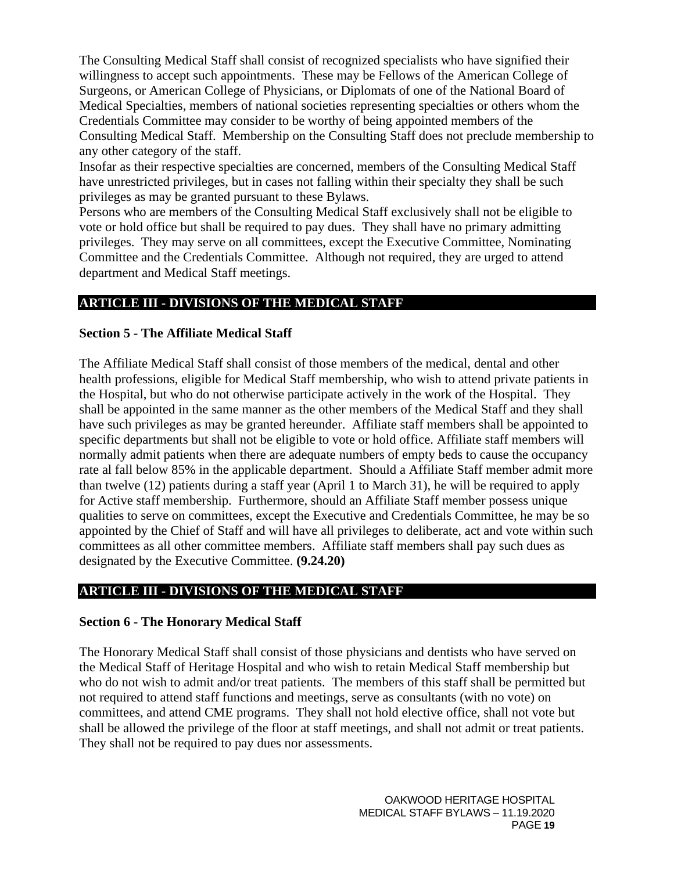The Consulting Medical Staff shall consist of recognized specialists who have signified their willingness to accept such appointments. These may be Fellows of the American College of Surgeons, or American College of Physicians, or Diplomats of one of the National Board of Medical Specialties, members of national societies representing specialties or others whom the Credentials Committee may consider to be worthy of being appointed members of the Consulting Medical Staff. Membership on the Consulting Staff does not preclude membership to any other category of the staff.

Insofar as their respective specialties are concerned, members of the Consulting Medical Staff have unrestricted privileges, but in cases not falling within their specialty they shall be such privileges as may be granted pursuant to these Bylaws.

Persons who are members of the Consulting Medical Staff exclusively shall not be eligible to vote or hold office but shall be required to pay dues. They shall have no primary admitting privileges. They may serve on all committees, except the Executive Committee, Nominating Committee and the Credentials Committee. Although not required, they are urged to attend department and Medical Staff meetings.

# **ARTICLE III - DIVISIONS OF THE MEDICAL STAFF**

## <span id="page-18-0"></span>**Section 5 - The Affiliate Medical Staff**

The Affiliate Medical Staff shall consist of those members of the medical, dental and other health professions, eligible for Medical Staff membership, who wish to attend private patients in the Hospital, but who do not otherwise participate actively in the work of the Hospital. They shall be appointed in the same manner as the other members of the Medical Staff and they shall have such privileges as may be granted hereunder. Affiliate staff members shall be appointed to specific departments but shall not be eligible to vote or hold office. Affiliate staff members will normally admit patients when there are adequate numbers of empty beds to cause the occupancy rate al fall below 85% in the applicable department. Should a Affiliate Staff member admit more than twelve (12) patients during a staff year (April 1 to March 31), he will be required to apply for Active staff membership. Furthermore, should an Affiliate Staff member possess unique qualities to serve on committees, except the Executive and Credentials Committee, he may be so appointed by the Chief of Staff and will have all privileges to deliberate, act and vote within such committees as all other committee members. Affiliate staff members shall pay such dues as designated by the Executive Committee. **(9.24.20)**

## **ARTICLE III - DIVISIONS OF THE MEDICAL STAFF**

### <span id="page-18-1"></span>**Section 6 - The Honorary Medical Staff**

The Honorary Medical Staff shall consist of those physicians and dentists who have served on the Medical Staff of Heritage Hospital and who wish to retain Medical Staff membership but who do not wish to admit and/or treat patients. The members of this staff shall be permitted but not required to attend staff functions and meetings, serve as consultants (with no vote) on committees, and attend CME programs. They shall not hold elective office, shall not vote but shall be allowed the privilege of the floor at staff meetings, and shall not admit or treat patients. They shall not be required to pay dues nor assessments.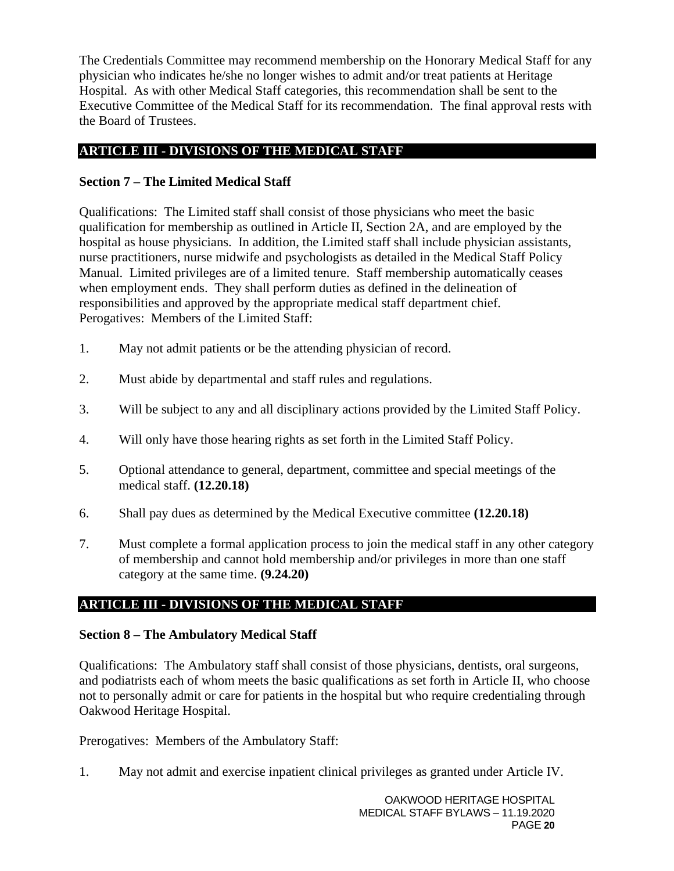The Credentials Committee may recommend membership on the Honorary Medical Staff for any physician who indicates he/she no longer wishes to admit and/or treat patients at Heritage Hospital. As with other Medical Staff categories, this recommendation shall be sent to the Executive Committee of the Medical Staff for its recommendation. The final approval rests with the Board of Trustees.

## **ARTICLE III - DIVISIONS OF THE MEDICAL STAFF**

## <span id="page-19-0"></span>**Section 7 – The Limited Medical Staff**

Qualifications: The Limited staff shall consist of those physicians who meet the basic qualification for membership as outlined in Article II, Section 2A, and are employed by the hospital as house physicians. In addition, the Limited staff shall include physician assistants, nurse practitioners, nurse midwife and psychologists as detailed in the Medical Staff Policy Manual. Limited privileges are of a limited tenure. Staff membership automatically ceases when employment ends. They shall perform duties as defined in the delineation of responsibilities and approved by the appropriate medical staff department chief. Perogatives: Members of the Limited Staff:

- 1. May not admit patients or be the attending physician of record.
- 2. Must abide by departmental and staff rules and regulations.
- 3. Will be subject to any and all disciplinary actions provided by the Limited Staff Policy.
- 4. Will only have those hearing rights as set forth in the Limited Staff Policy.
- 5. Optional attendance to general, department, committee and special meetings of the medical staff. **(12.20.18)**
- 6. Shall pay dues as determined by the Medical Executive committee **(12.20.18)**
- 7. Must complete a formal application process to join the medical staff in any other category of membership and cannot hold membership and/or privileges in more than one staff category at the same time. **(9.24.20)**

## **ARTICLE III - DIVISIONS OF THE MEDICAL STAFF**

### **Section 8 – The Ambulatory Medical Staff**

Qualifications: The Ambulatory staff shall consist of those physicians, dentists, oral surgeons, and podiatrists each of whom meets the basic qualifications as set forth in Article II, who choose not to personally admit or care for patients in the hospital but who require credentialing through Oakwood Heritage Hospital.

Prerogatives: Members of the Ambulatory Staff:

1. May not admit and exercise inpatient clinical privileges as granted under Article IV.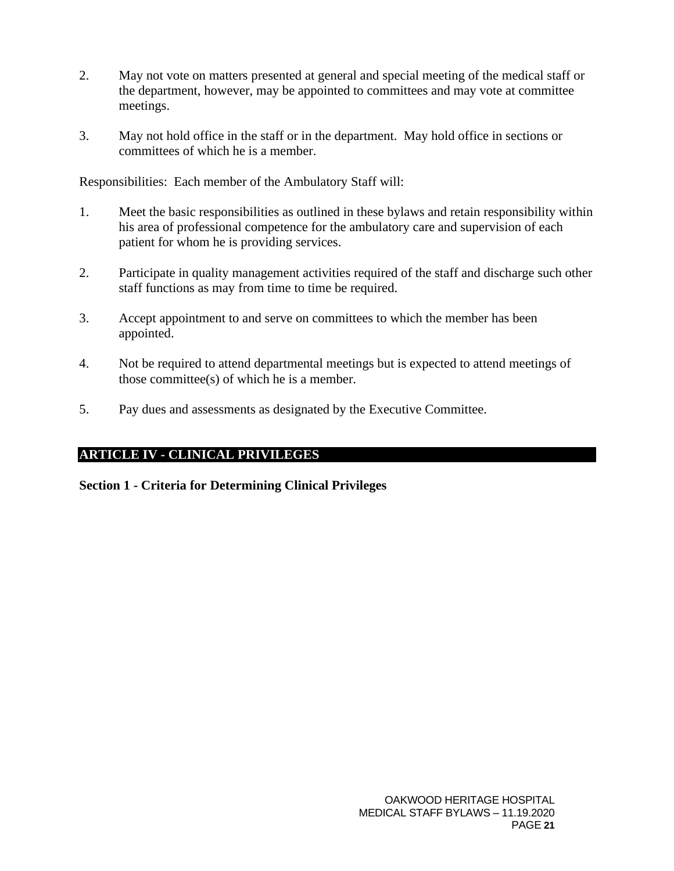- 2. May not vote on matters presented at general and special meeting of the medical staff or the department, however, may be appointed to committees and may vote at committee meetings.
- 3. May not hold office in the staff or in the department. May hold office in sections or committees of which he is a member.

Responsibilities: Each member of the Ambulatory Staff will:

- 1. Meet the basic responsibilities as outlined in these bylaws and retain responsibility within his area of professional competence for the ambulatory care and supervision of each patient for whom he is providing services.
- 2. Participate in quality management activities required of the staff and discharge such other staff functions as may from time to time be required.
- 3. Accept appointment to and serve on committees to which the member has been appointed.
- 4. Not be required to attend departmental meetings but is expected to attend meetings of those committee(s) of which he is a member.
- 5. Pay dues and assessments as designated by the Executive Committee.

## **ARTICLE IV - CLINICAL PRIVILEGES**

<span id="page-20-0"></span>**Section 1 - Criteria for Determining Clinical Privileges**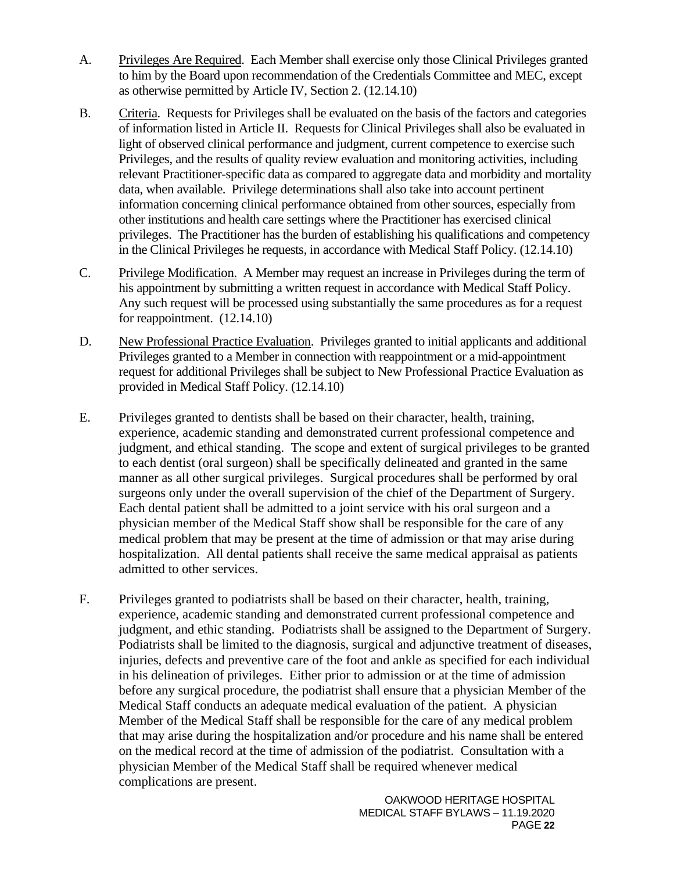- A. Privileges Are Required. Each Member shall exercise only those Clinical Privileges granted to him by the Board upon recommendation of the Credentials Committee and MEC, except as otherwise permitted by Article IV, Section 2. (12.14.10)
- B. Criteria. Requests for Privileges shall be evaluated on the basis of the factors and categories of information listed in Article II. Requests for Clinical Privileges shall also be evaluated in light of observed clinical performance and judgment, current competence to exercise such Privileges, and the results of quality review evaluation and monitoring activities, including relevant Practitioner-specific data as compared to aggregate data and morbidity and mortality data, when available. Privilege determinations shall also take into account pertinent information concerning clinical performance obtained from other sources, especially from other institutions and health care settings where the Practitioner has exercised clinical privileges. The Practitioner has the burden of establishing his qualifications and competency in the Clinical Privileges he requests, in accordance with Medical Staff Policy. (12.14.10)
- C. Privilege Modification. A Member may request an increase in Privileges during the term of his appointment by submitting a written request in accordance with Medical Staff Policy. Any such request will be processed using substantially the same procedures as for a request for reappointment. (12.14.10)
- D. New Professional Practice Evaluation. Privileges granted to initial applicants and additional Privileges granted to a Member in connection with reappointment or a mid-appointment request for additional Privileges shall be subject to New Professional Practice Evaluation as provided in Medical Staff Policy. (12.14.10)
- E. Privileges granted to dentists shall be based on their character, health, training, experience, academic standing and demonstrated current professional competence and judgment, and ethical standing. The scope and extent of surgical privileges to be granted to each dentist (oral surgeon) shall be specifically delineated and granted in the same manner as all other surgical privileges. Surgical procedures shall be performed by oral surgeons only under the overall supervision of the chief of the Department of Surgery. Each dental patient shall be admitted to a joint service with his oral surgeon and a physician member of the Medical Staff show shall be responsible for the care of any medical problem that may be present at the time of admission or that may arise during hospitalization. All dental patients shall receive the same medical appraisal as patients admitted to other services.
- F. Privileges granted to podiatrists shall be based on their character, health, training, experience, academic standing and demonstrated current professional competence and judgment, and ethic standing. Podiatrists shall be assigned to the Department of Surgery. Podiatrists shall be limited to the diagnosis, surgical and adjunctive treatment of diseases, injuries, defects and preventive care of the foot and ankle as specified for each individual in his delineation of privileges. Either prior to admission or at the time of admission before any surgical procedure, the podiatrist shall ensure that a physician Member of the Medical Staff conducts an adequate medical evaluation of the patient. A physician Member of the Medical Staff shall be responsible for the care of any medical problem that may arise during the hospitalization and/or procedure and his name shall be entered on the medical record at the time of admission of the podiatrist. Consultation with a physician Member of the Medical Staff shall be required whenever medical complications are present.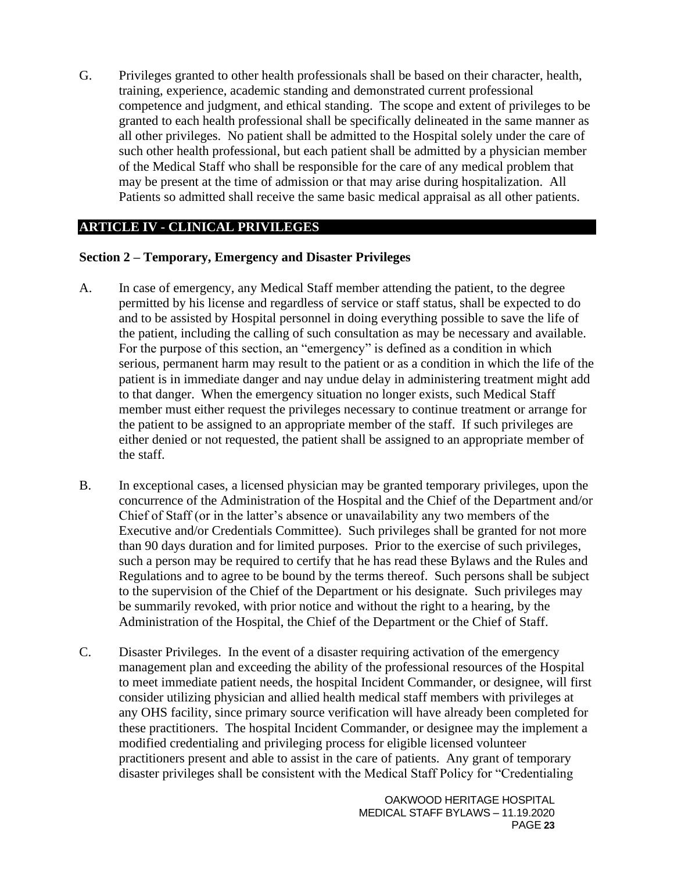G. Privileges granted to other health professionals shall be based on their character, health, training, experience, academic standing and demonstrated current professional competence and judgment, and ethical standing. The scope and extent of privileges to be granted to each health professional shall be specifically delineated in the same manner as all other privileges. No patient shall be admitted to the Hospital solely under the care of such other health professional, but each patient shall be admitted by a physician member of the Medical Staff who shall be responsible for the care of any medical problem that may be present at the time of admission or that may arise during hospitalization. All Patients so admitted shall receive the same basic medical appraisal as all other patients.

### **ARTICLE IV - CLINICAL PRIVILEGES**

#### <span id="page-22-0"></span>**Section 2 – Temporary, Emergency and Disaster Privileges**

- A. In case of emergency, any Medical Staff member attending the patient, to the degree permitted by his license and regardless of service or staff status, shall be expected to do and to be assisted by Hospital personnel in doing everything possible to save the life of the patient, including the calling of such consultation as may be necessary and available. For the purpose of this section, an "emergency" is defined as a condition in which serious, permanent harm may result to the patient or as a condition in which the life of the patient is in immediate danger and nay undue delay in administering treatment might add to that danger. When the emergency situation no longer exists, such Medical Staff member must either request the privileges necessary to continue treatment or arrange for the patient to be assigned to an appropriate member of the staff. If such privileges are either denied or not requested, the patient shall be assigned to an appropriate member of the staff.
- B. In exceptional cases, a licensed physician may be granted temporary privileges, upon the concurrence of the Administration of the Hospital and the Chief of the Department and/or Chief of Staff (or in the latter's absence or unavailability any two members of the Executive and/or Credentials Committee). Such privileges shall be granted for not more than 90 days duration and for limited purposes. Prior to the exercise of such privileges, such a person may be required to certify that he has read these Bylaws and the Rules and Regulations and to agree to be bound by the terms thereof. Such persons shall be subject to the supervision of the Chief of the Department or his designate. Such privileges may be summarily revoked, with prior notice and without the right to a hearing, by the Administration of the Hospital, the Chief of the Department or the Chief of Staff.
- C. Disaster Privileges. In the event of a disaster requiring activation of the emergency management plan and exceeding the ability of the professional resources of the Hospital to meet immediate patient needs, the hospital Incident Commander, or designee, will first consider utilizing physician and allied health medical staff members with privileges at any OHS facility, since primary source verification will have already been completed for these practitioners. The hospital Incident Commander, or designee may the implement a modified credentialing and privileging process for eligible licensed volunteer practitioners present and able to assist in the care of patients. Any grant of temporary disaster privileges shall be consistent with the Medical Staff Policy for "Credentialing

OAKWOOD HERITAGE HOSPITAL MEDICAL STAFF BYLAWS – 11.19.2020 PAGE **23**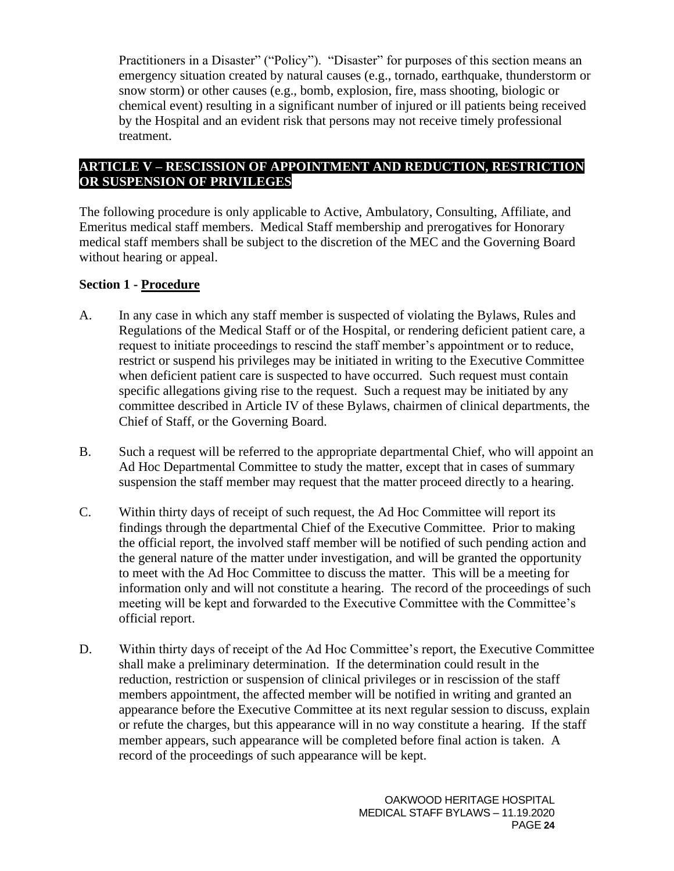Practitioners in a Disaster" ("Policy"). "Disaster" for purposes of this section means an emergency situation created by natural causes (e.g., tornado, earthquake, thunderstorm or snow storm) or other causes (e.g., bomb, explosion, fire, mass shooting, biologic or chemical event) resulting in a significant number of injured or ill patients being received by the Hospital and an evident risk that persons may not receive timely professional treatment.

## **ARTICLE V – RESCISSION OF APPOINTMENT AND REDUCTION, RESTRICTION OR SUSPENSION OF PRIVILEGES**

The following procedure is only applicable to Active, Ambulatory, Consulting, Affiliate, and Emeritus medical staff members. Medical Staff membership and prerogatives for Honorary medical staff members shall be subject to the discretion of the MEC and the Governing Board without hearing or appeal.

## **Section 1 - Procedure**

- A. In any case in which any staff member is suspected of violating the Bylaws, Rules and Regulations of the Medical Staff or of the Hospital, or rendering deficient patient care, a request to initiate proceedings to rescind the staff member's appointment or to reduce, restrict or suspend his privileges may be initiated in writing to the Executive Committee when deficient patient care is suspected to have occurred. Such request must contain specific allegations giving rise to the request. Such a request may be initiated by any committee described in Article IV of these Bylaws, chairmen of clinical departments, the Chief of Staff, or the Governing Board.
- B. Such a request will be referred to the appropriate departmental Chief, who will appoint an Ad Hoc Departmental Committee to study the matter, except that in cases of summary suspension the staff member may request that the matter proceed directly to a hearing.
- C. Within thirty days of receipt of such request, the Ad Hoc Committee will report its findings through the departmental Chief of the Executive Committee. Prior to making the official report, the involved staff member will be notified of such pending action and the general nature of the matter under investigation, and will be granted the opportunity to meet with the Ad Hoc Committee to discuss the matter. This will be a meeting for information only and will not constitute a hearing. The record of the proceedings of such meeting will be kept and forwarded to the Executive Committee with the Committee's official report.
- D. Within thirty days of receipt of the Ad Hoc Committee's report, the Executive Committee shall make a preliminary determination. If the determination could result in the reduction, restriction or suspension of clinical privileges or in rescission of the staff members appointment, the affected member will be notified in writing and granted an appearance before the Executive Committee at its next regular session to discuss, explain or refute the charges, but this appearance will in no way constitute a hearing. If the staff member appears, such appearance will be completed before final action is taken. A record of the proceedings of such appearance will be kept.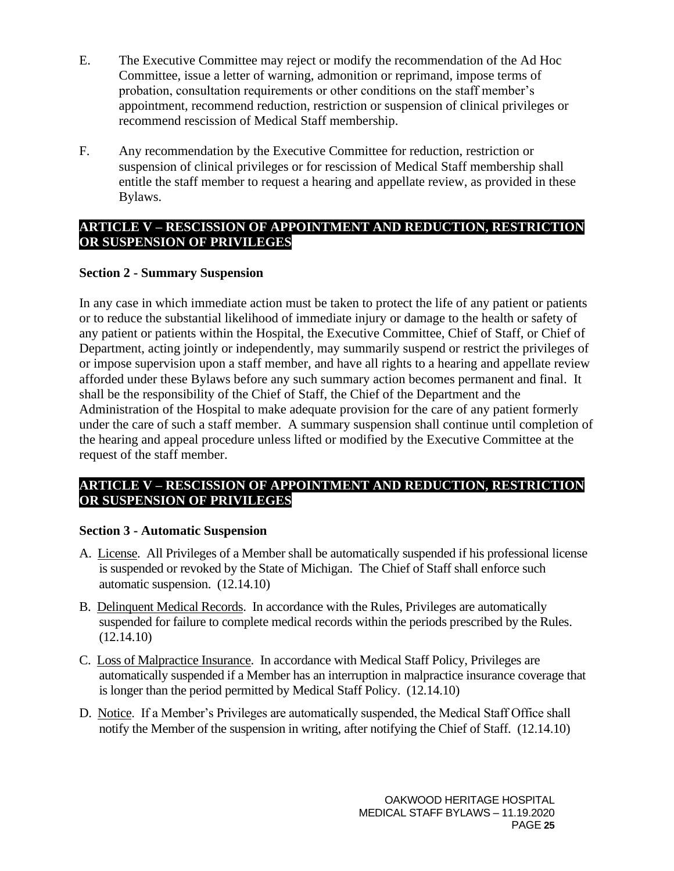- E. The Executive Committee may reject or modify the recommendation of the Ad Hoc Committee, issue a letter of warning, admonition or reprimand, impose terms of probation, consultation requirements or other conditions on the staff member's appointment, recommend reduction, restriction or suspension of clinical privileges or recommend rescission of Medical Staff membership.
- F. Any recommendation by the Executive Committee for reduction, restriction or suspension of clinical privileges or for rescission of Medical Staff membership shall entitle the staff member to request a hearing and appellate review, as provided in these Bylaws.

### **ARTICLE V – RESCISSION OF APPOINTMENT AND REDUCTION, RESTRICTION OR SUSPENSION OF PRIVILEGES**

### <span id="page-24-0"></span>**Section 2 - Summary Suspension**

In any case in which immediate action must be taken to protect the life of any patient or patients or to reduce the substantial likelihood of immediate injury or damage to the health or safety of any patient or patients within the Hospital, the Executive Committee, Chief of Staff, or Chief of Department, acting jointly or independently, may summarily suspend or restrict the privileges of or impose supervision upon a staff member, and have all rights to a hearing and appellate review afforded under these Bylaws before any such summary action becomes permanent and final. It shall be the responsibility of the Chief of Staff, the Chief of the Department and the Administration of the Hospital to make adequate provision for the care of any patient formerly under the care of such a staff member. A summary suspension shall continue until completion of the hearing and appeal procedure unless lifted or modified by the Executive Committee at the request of the staff member.

### **ARTICLE V – RESCISSION OF APPOINTMENT AND REDUCTION, RESTRICTION OR SUSPENSION OF PRIVILEGES**

### <span id="page-24-1"></span>**Section 3 - Automatic Suspension**

- A. License. All Privileges of a Member shall be automatically suspended if his professional license is suspended or revoked by the State of Michigan. The Chief of Staff shall enforce such automatic suspension. (12.14.10)
- B. Delinquent Medical Records. In accordance with the Rules, Privileges are automatically suspended for failure to complete medical records within the periods prescribed by the Rules. (12.14.10)
- C. Loss of Malpractice Insurance. In accordance with Medical Staff Policy, Privileges are automatically suspended if a Member has an interruption in malpractice insurance coverage that is longer than the period permitted by Medical Staff Policy. (12.14.10)
- D. Notice. If a Member's Privileges are automatically suspended, the Medical Staff Office shall notify the Member of the suspension in writing, after notifying the Chief of Staff. (12.14.10)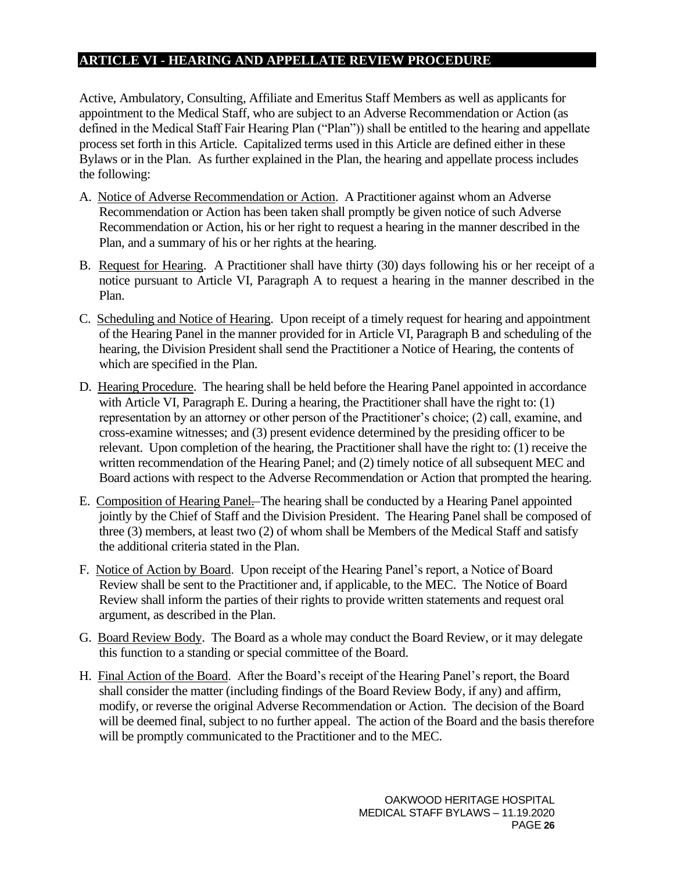#### <span id="page-25-0"></span>**ARTICLE VI - HEARING AND APPELLATE REVIEW PROCEDURE**

Active, Ambulatory, Consulting, Affiliate and Emeritus Staff Members as well as applicants for appointment to the Medical Staff, who are subject to an Adverse Recommendation or Action (as defined in the Medical Staff Fair Hearing Plan ("Plan")) shall be entitled to the hearing and appellate process set forth in this Article. Capitalized terms used in this Article are defined either in these Bylaws or in the Plan. As further explained in the Plan, the hearing and appellate process includes the following:

- A. Notice of Adverse Recommendation or Action. A Practitioner against whom an Adverse Recommendation or Action has been taken shall promptly be given notice of such Adverse Recommendation or Action, his or her right to request a hearing in the manner described in the Plan, and a summary of his or her rights at the hearing.
- B. Request for Hearing. A Practitioner shall have thirty (30) days following his or her receipt of a notice pursuant to Article VI, Paragraph A to request a hearing in the manner described in the Plan.
- C. Scheduling and Notice of Hearing. Upon receipt of a timely request for hearing and appointment of the Hearing Panel in the manner provided for in Article VI, Paragraph B and scheduling of the hearing, the Division President shall send the Practitioner a Notice of Hearing, the contents of which are specified in the Plan.
- D. Hearing Procedure. The hearing shall be held before the Hearing Panel appointed in accordance with Article VI, Paragraph E. During a hearing, the Practitioner shall have the right to: (1) representation by an attorney or other person of the Practitioner's choice; (2) call, examine, and cross-examine witnesses; and (3) present evidence determined by the presiding officer to be relevant. Upon completion of the hearing, the Practitioner shall have the right to: (1) receive the written recommendation of the Hearing Panel; and (2) timely notice of all subsequent MEC and Board actions with respect to the Adverse Recommendation or Action that prompted the hearing.
- E. Composition of Hearing Panel. The hearing shall be conducted by a Hearing Panel appointed jointly by the Chief of Staff and the Division President. The Hearing Panel shall be composed of three (3) members, at least two (2) of whom shall be Members of the Medical Staff and satisfy the additional criteria stated in the Plan.
- F. Notice of Action by Board. Upon receipt of the Hearing Panel's report, a Notice of Board Review shall be sent to the Practitioner and, if applicable, to the MEC. The Notice of Board Review shall inform the parties of their rights to provide written statements and request oral argument, as described in the Plan.
- G. Board Review Body. The Board as a whole may conduct the Board Review, or it may delegate this function to a standing or special committee of the Board.
- H. Final Action of the Board. After the Board's receipt of the Hearing Panel's report, the Board shall consider the matter (including findings of the Board Review Body, if any) and affirm, modify, or reverse the original Adverse Recommendation or Action. The decision of the Board will be deemed final, subject to no further appeal. The action of the Board and the basis therefore will be promptly communicated to the Practitioner and to the MEC.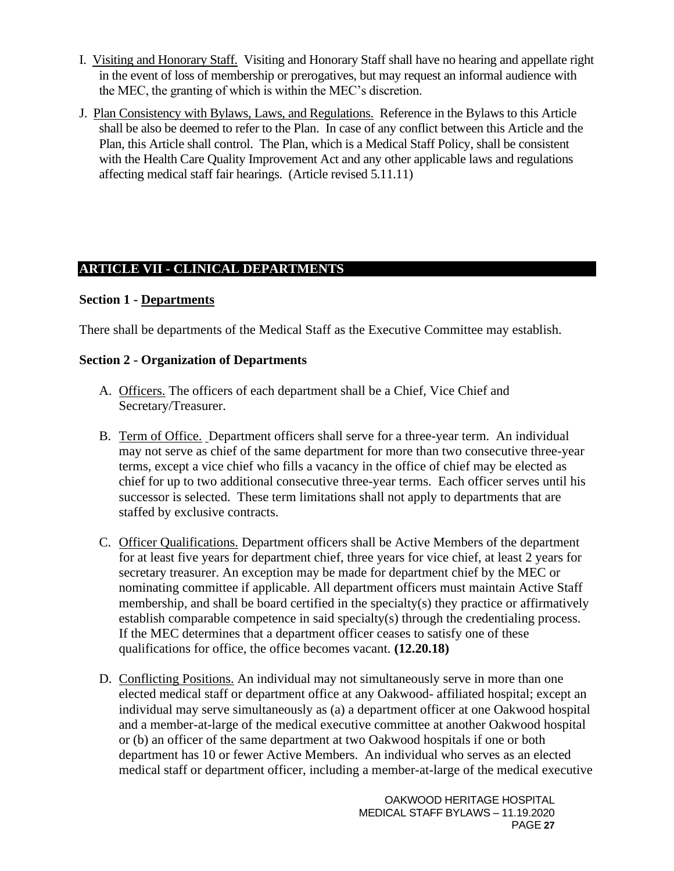- I. Visiting and Honorary Staff. Visiting and Honorary Staff shall have no hearing and appellate right in the event of loss of membership or prerogatives, but may request an informal audience with the MEC, the granting of which is within the MEC's discretion.
- J. Plan Consistency with Bylaws, Laws, and Regulations. Reference in the Bylaws to this Article shall be also be deemed to refer to the Plan. In case of any conflict between this Article and the Plan, this Article shall control. The Plan, which is a Medical Staff Policy, shall be consistent with the Health Care Quality Improvement Act and any other applicable laws and regulations affecting medical staff fair hearings. (Article revised 5.11.11)

## <span id="page-26-0"></span>**ARTICLE VII - CLINICAL DEPARTMENTS**

### <span id="page-26-1"></span>**Section 1 - Departments**

There shall be departments of the Medical Staff as the Executive Committee may establish.

### <span id="page-26-2"></span>**Section 2 - Organization of Departments**

- A. Officers. The officers of each department shall be a Chief, Vice Chief and Secretary/Treasurer.
- B. Term of Office. Department officers shall serve for a three-year term. An individual may not serve as chief of the same department for more than two consecutive three-year terms, except a vice chief who fills a vacancy in the office of chief may be elected as chief for up to two additional consecutive three-year terms. Each officer serves until his successor is selected. These term limitations shall not apply to departments that are staffed by exclusive contracts.
- C. Officer Qualifications. Department officers shall be Active Members of the department for at least five years for department chief, three years for vice chief, at least 2 years for secretary treasurer. An exception may be made for department chief by the MEC or nominating committee if applicable. All department officers must maintain Active Staff membership, and shall be board certified in the specialty(s) they practice or affirmatively establish comparable competence in said specialty(s) through the credentialing process. If the MEC determines that a department officer ceases to satisfy one of these qualifications for office, the office becomes vacant. **(12.20.18)**
- D. Conflicting Positions. An individual may not simultaneously serve in more than one elected medical staff or department office at any Oakwood- affiliated hospital; except an individual may serve simultaneously as (a) a department officer at one Oakwood hospital and a member-at-large of the medical executive committee at another Oakwood hospital or (b) an officer of the same department at two Oakwood hospitals if one or both department has 10 or fewer Active Members. An individual who serves as an elected medical staff or department officer, including a member-at-large of the medical executive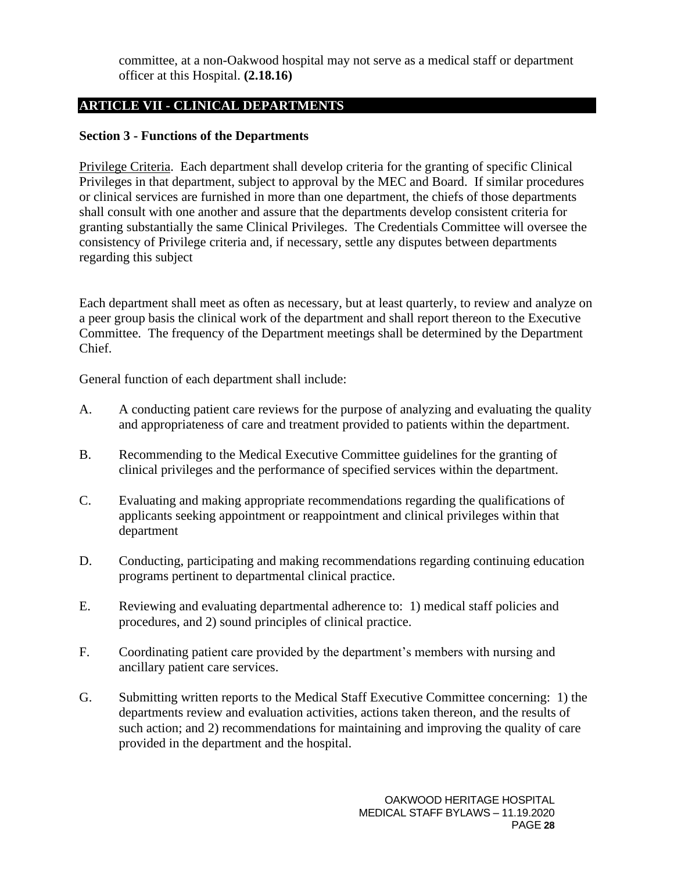committee, at a non-Oakwood hospital may not serve as a medical staff or department officer at this Hospital. **(2.18.16)**

## **ARTICLE VII - CLINICAL DEPARTMENTS**

#### <span id="page-27-0"></span>**Section 3 - Functions of the Departments**

Privilege Criteria. Each department shall develop criteria for the granting of specific Clinical Privileges in that department, subject to approval by the MEC and Board. If similar procedures or clinical services are furnished in more than one department, the chiefs of those departments shall consult with one another and assure that the departments develop consistent criteria for granting substantially the same Clinical Privileges. The Credentials Committee will oversee the consistency of Privilege criteria and, if necessary, settle any disputes between departments regarding this subject

Each department shall meet as often as necessary, but at least quarterly, to review and analyze on a peer group basis the clinical work of the department and shall report thereon to the Executive Committee. The frequency of the Department meetings shall be determined by the Department Chief.

General function of each department shall include:

- A. A conducting patient care reviews for the purpose of analyzing and evaluating the quality and appropriateness of care and treatment provided to patients within the department.
- B. Recommending to the Medical Executive Committee guidelines for the granting of clinical privileges and the performance of specified services within the department.
- C. Evaluating and making appropriate recommendations regarding the qualifications of applicants seeking appointment or reappointment and clinical privileges within that department
- D. Conducting, participating and making recommendations regarding continuing education programs pertinent to departmental clinical practice.
- E. Reviewing and evaluating departmental adherence to: 1) medical staff policies and procedures, and 2) sound principles of clinical practice.
- F. Coordinating patient care provided by the department's members with nursing and ancillary patient care services.
- G. Submitting written reports to the Medical Staff Executive Committee concerning: 1) the departments review and evaluation activities, actions taken thereon, and the results of such action; and 2) recommendations for maintaining and improving the quality of care provided in the department and the hospital.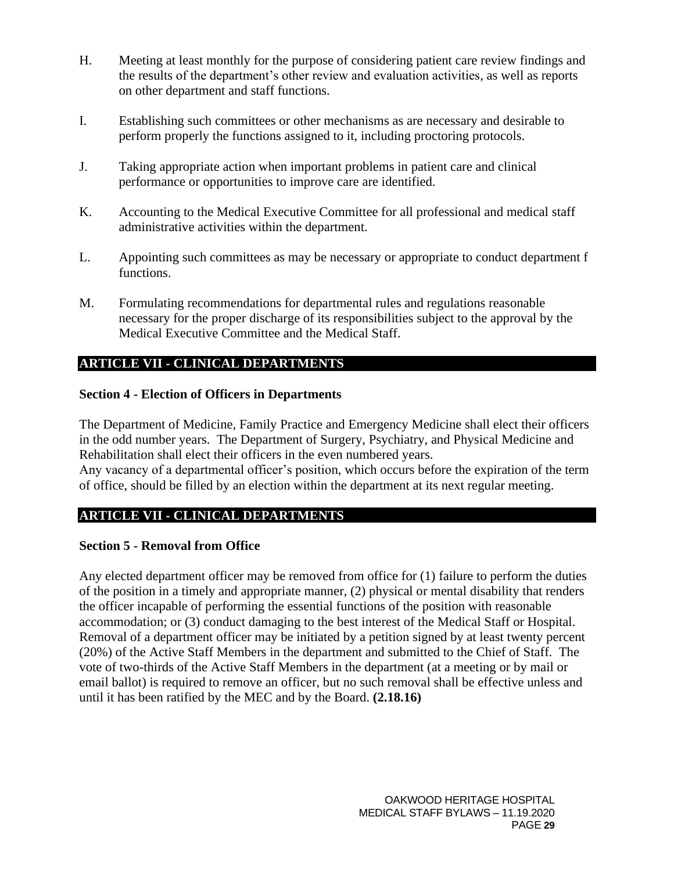- H. Meeting at least monthly for the purpose of considering patient care review findings and the results of the department's other review and evaluation activities, as well as reports on other department and staff functions.
- I. Establishing such committees or other mechanisms as are necessary and desirable to perform properly the functions assigned to it, including proctoring protocols.
- J. Taking appropriate action when important problems in patient care and clinical performance or opportunities to improve care are identified.
- K. Accounting to the Medical Executive Committee for all professional and medical staff administrative activities within the department.
- L. Appointing such committees as may be necessary or appropriate to conduct department f functions.
- M. Formulating recommendations for departmental rules and regulations reasonable necessary for the proper discharge of its responsibilities subject to the approval by the Medical Executive Committee and the Medical Staff.

## **ARTICLE VII - CLINICAL DEPARTMENTS**

### <span id="page-28-0"></span>**Section 4 - Election of Officers in Departments**

The Department of Medicine, Family Practice and Emergency Medicine shall elect their officers in the odd number years. The Department of Surgery, Psychiatry, and Physical Medicine and Rehabilitation shall elect their officers in the even numbered years.

Any vacancy of a departmental officer's position, which occurs before the expiration of the term of office, should be filled by an election within the department at its next regular meeting.

## **ARTICLE VII - CLINICAL DEPARTMENTS**

### <span id="page-28-1"></span>**Section 5 - Removal from Office**

Any elected department officer may be removed from office for (1) failure to perform the duties of the position in a timely and appropriate manner, (2) physical or mental disability that renders the officer incapable of performing the essential functions of the position with reasonable accommodation; or (3) conduct damaging to the best interest of the Medical Staff or Hospital. Removal of a department officer may be initiated by a petition signed by at least twenty percent (20%) of the Active Staff Members in the department and submitted to the Chief of Staff. The vote of two-thirds of the Active Staff Members in the department (at a meeting or by mail or email ballot) is required to remove an officer, but no such removal shall be effective unless and until it has been ratified by the MEC and by the Board. **(2.18.16)**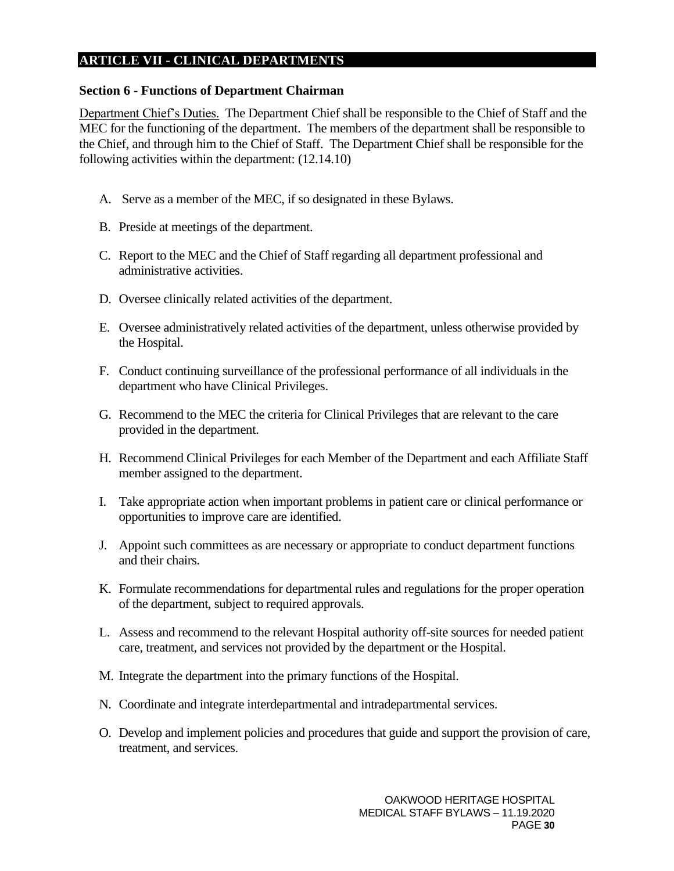#### **ARTICLE VII - CLINICAL DEPARTMENTS**

#### <span id="page-29-0"></span>**Section 6 - Functions of Department Chairman**

Department Chief's Duties. The Department Chief shall be responsible to the Chief of Staff and the MEC for the functioning of the department. The members of the department shall be responsible to the Chief, and through him to the Chief of Staff. The Department Chief shall be responsible for the following activities within the department: (12.14.10)

- A. Serve as a member of the MEC, if so designated in these Bylaws.
- B. Preside at meetings of the department.
- C. Report to the MEC and the Chief of Staff regarding all department professional and administrative activities.
- D. Oversee clinically related activities of the department.
- E. Oversee administratively related activities of the department, unless otherwise provided by the Hospital.
- F. Conduct continuing surveillance of the professional performance of all individuals in the department who have Clinical Privileges.
- G. Recommend to the MEC the criteria for Clinical Privileges that are relevant to the care provided in the department.
- H. Recommend Clinical Privileges for each Member of the Department and each Affiliate Staff member assigned to the department.
- I. Take appropriate action when important problems in patient care or clinical performance or opportunities to improve care are identified.
- J. Appoint such committees as are necessary or appropriate to conduct department functions and their chairs.
- K. Formulate recommendations for departmental rules and regulations for the proper operation of the department, subject to required approvals.
- L. Assess and recommend to the relevant Hospital authority off-site sources for needed patient care, treatment, and services not provided by the department or the Hospital.
- M. Integrate the department into the primary functions of the Hospital.
- N. Coordinate and integrate interdepartmental and intradepartmental services.
- O. Develop and implement policies and procedures that guide and support the provision of care, treatment, and services.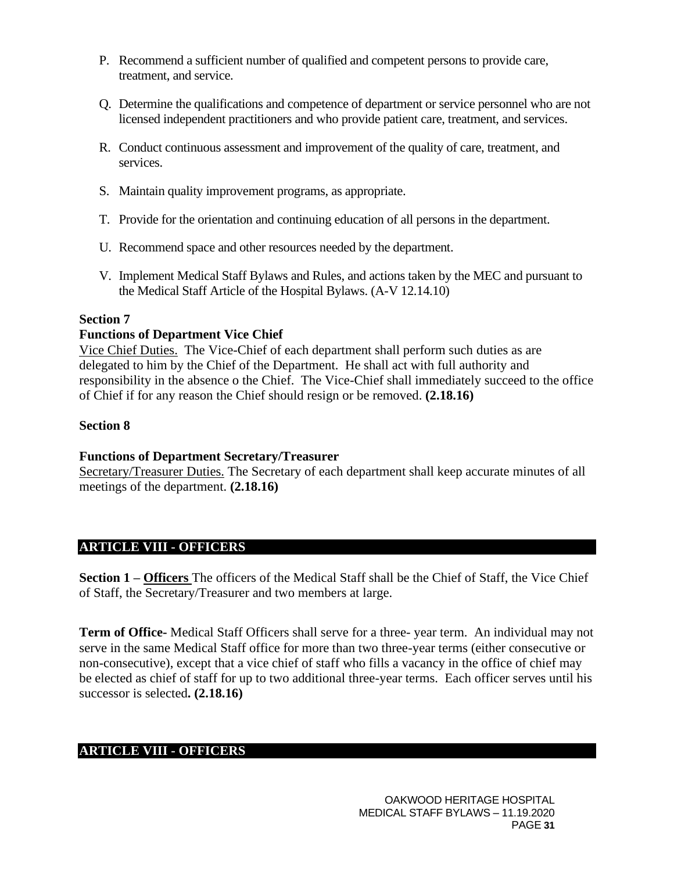- P. Recommend a sufficient number of qualified and competent persons to provide care, treatment, and service.
- Q. Determine the qualifications and competence of department or service personnel who are not licensed independent practitioners and who provide patient care, treatment, and services.
- R. Conduct continuous assessment and improvement of the quality of care, treatment, and services.
- S. Maintain quality improvement programs, as appropriate.
- T. Provide for the orientation and continuing education of all persons in the department.
- U. Recommend space and other resources needed by the department.
- V. Implement Medical Staff Bylaws and Rules, and actions taken by the MEC and pursuant to the Medical Staff Article of the Hospital Bylaws. (A-V 12.14.10)

#### **Section 7**

#### **Functions of Department Vice Chief**

Vice Chief Duties. The Vice-Chief of each department shall perform such duties as are delegated to him by the Chief of the Department. He shall act with full authority and responsibility in the absence o the Chief. The Vice-Chief shall immediately succeed to the office of Chief if for any reason the Chief should resign or be removed. **(2.18.16)**

#### **Section 8**

#### **Functions of Department Secretary/Treasurer**

Secretary/Treasurer Duties. The Secretary of each department shall keep accurate minutes of all meetings of the department. **(2.18.16)**

### **ARTICLE VIII - OFFICERS**

<span id="page-30-0"></span>**Section 1 – Officers** The officers of the Medical Staff shall be the Chief of Staff, the Vice Chief of Staff, the Secretary/Treasurer and two members at large.

**Term of Office-** Medical Staff Officers shall serve for a three- year term. An individual may not serve in the same Medical Staff office for more than two three-year terms (either consecutive or non-consecutive), except that a vice chief of staff who fills a vacancy in the office of chief may be elected as chief of staff for up to two additional three-year terms. Each officer serves until his successor is selected**. (2.18.16)**

## **ARTICLE VIII - OFFICERS**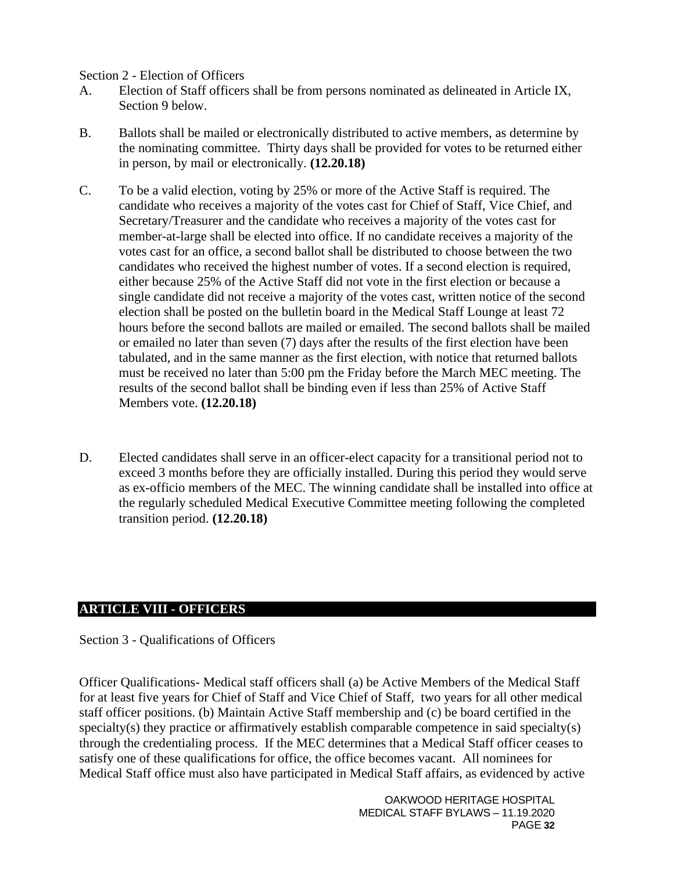#### <span id="page-31-0"></span>Section 2 - Election of Officers

- A. Election of Staff officers shall be from persons nominated as delineated in Article IX, Section 9 below.
- B. Ballots shall be mailed or electronically distributed to active members, as determine by the nominating committee. Thirty days shall be provided for votes to be returned either in person, by mail or electronically. **(12.20.18)**
- C. To be a valid election, voting by 25% or more of the Active Staff is required. The candidate who receives a majority of the votes cast for Chief of Staff, Vice Chief, and Secretary/Treasurer and the candidate who receives a majority of the votes cast for member-at-large shall be elected into office. If no candidate receives a majority of the votes cast for an office, a second ballot shall be distributed to choose between the two candidates who received the highest number of votes. If a second election is required, either because 25% of the Active Staff did not vote in the first election or because a single candidate did not receive a majority of the votes cast, written notice of the second election shall be posted on the bulletin board in the Medical Staff Lounge at least 72 hours before the second ballots are mailed or emailed. The second ballots shall be mailed or emailed no later than seven (7) days after the results of the first election have been tabulated, and in the same manner as the first election, with notice that returned ballots must be received no later than 5:00 pm the Friday before the March MEC meeting. The results of the second ballot shall be binding even if less than 25% of Active Staff Members vote. **(12.20.18)**
- D. Elected candidates shall serve in an officer-elect capacity for a transitional period not to exceed 3 months before they are officially installed. During this period they would serve as ex-officio members of the MEC. The winning candidate shall be installed into office at the regularly scheduled Medical Executive Committee meeting following the completed transition period. **(12.20.18)**

### **ARTICLE VIII - OFFICERS**

<span id="page-31-1"></span>Section 3 - Qualifications of Officers

Officer Qualifications- Medical staff officers shall (a) be Active Members of the Medical Staff for at least five years for Chief of Staff and Vice Chief of Staff*,* two years for all other medical staff officer positions. (b) Maintain Active Staff membership and (c) be board certified in the specialty(s) they practice or affirmatively establish comparable competence in said specialty(s) through the credentialing process. If the MEC determines that a Medical Staff officer ceases to satisfy one of these qualifications for office, the office becomes vacant. All nominees for Medical Staff office must also have participated in Medical Staff affairs, as evidenced by active

> OAKWOOD HERITAGE HOSPITAL MEDICAL STAFF BYLAWS – 11.19.2020 PAGE **32**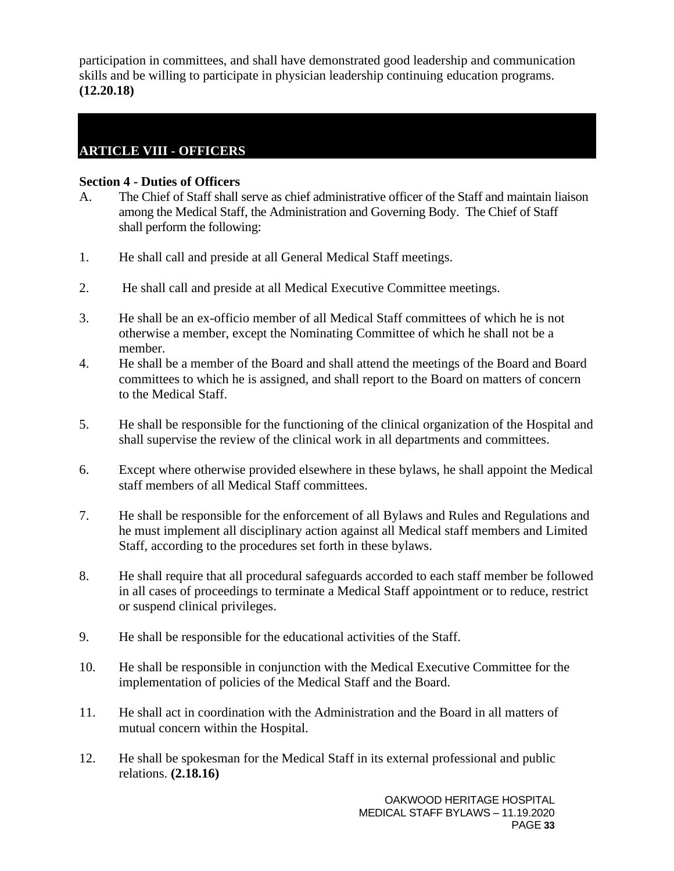participation in committees, and shall have demonstrated good leadership and communication skills and be willing to participate in physician leadership continuing education programs. **(12.20.18)**

# **ARTICLE VIII - OFFICERS**

#### <span id="page-32-0"></span>**Section 4 - Duties of Officers**

- A. The Chief of Staff shall serve as chief administrative officer of the Staff and maintain liaison among the Medical Staff, the Administration and Governing Body. The Chief of Staff shall perform the following:
- 1. He shall call and preside at all General Medical Staff meetings.
- 2. He shall call and preside at all Medical Executive Committee meetings.
- 3. He shall be an ex-officio member of all Medical Staff committees of which he is not otherwise a member, except the Nominating Committee of which he shall not be a member.
- 4. He shall be a member of the Board and shall attend the meetings of the Board and Board committees to which he is assigned, and shall report to the Board on matters of concern to the Medical Staff.
- 5. He shall be responsible for the functioning of the clinical organization of the Hospital and shall supervise the review of the clinical work in all departments and committees.
- 6. Except where otherwise provided elsewhere in these bylaws, he shall appoint the Medical staff members of all Medical Staff committees.
- 7. He shall be responsible for the enforcement of all Bylaws and Rules and Regulations and he must implement all disciplinary action against all Medical staff members and Limited Staff, according to the procedures set forth in these bylaws.
- 8. He shall require that all procedural safeguards accorded to each staff member be followed in all cases of proceedings to terminate a Medical Staff appointment or to reduce, restrict or suspend clinical privileges.
- 9. He shall be responsible for the educational activities of the Staff.
- 10. He shall be responsible in conjunction with the Medical Executive Committee for the implementation of policies of the Medical Staff and the Board.
- 11. He shall act in coordination with the Administration and the Board in all matters of mutual concern within the Hospital.
- 12. He shall be spokesman for the Medical Staff in its external professional and public relations. **(2.18.16)**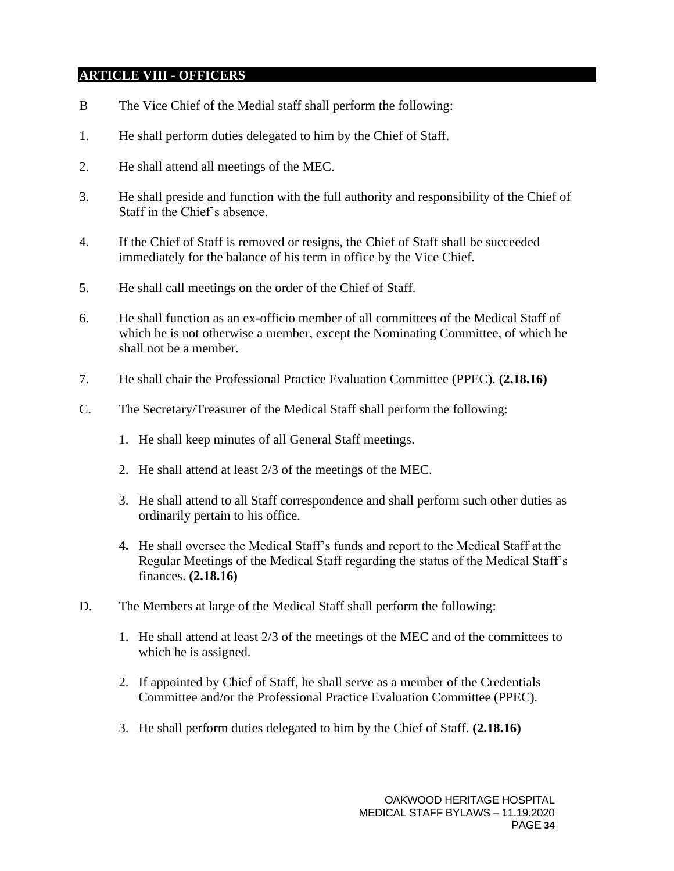## **ARTICLE VIII - OFFICERS**

- B The Vice Chief of the Medial staff shall perform the following:
- 1. He shall perform duties delegated to him by the Chief of Staff.
- 2. He shall attend all meetings of the MEC.
- 3. He shall preside and function with the full authority and responsibility of the Chief of Staff in the Chief's absence.
- 4. If the Chief of Staff is removed or resigns, the Chief of Staff shall be succeeded immediately for the balance of his term in office by the Vice Chief.
- 5. He shall call meetings on the order of the Chief of Staff.
- 6. He shall function as an ex-officio member of all committees of the Medical Staff of which he is not otherwise a member, except the Nominating Committee, of which he shall not be a member.
- 7. He shall chair the Professional Practice Evaluation Committee (PPEC). **(2.18.16)**
- C. The Secretary/Treasurer of the Medical Staff shall perform the following:
	- 1. He shall keep minutes of all General Staff meetings.
	- 2. He shall attend at least 2/3 of the meetings of the MEC.
	- 3. He shall attend to all Staff correspondence and shall perform such other duties as ordinarily pertain to his office.
	- **4.** He shall oversee the Medical Staff's funds and report to the Medical Staff at the Regular Meetings of the Medical Staff regarding the status of the Medical Staff's finances. **(2.18.16)**
- D. The Members at large of the Medical Staff shall perform the following:
	- 1. He shall attend at least 2/3 of the meetings of the MEC and of the committees to which he is assigned.
	- 2. If appointed by Chief of Staff, he shall serve as a member of the Credentials Committee and/or the Professional Practice Evaluation Committee (PPEC).
	- 3. He shall perform duties delegated to him by the Chief of Staff. **(2.18.16)**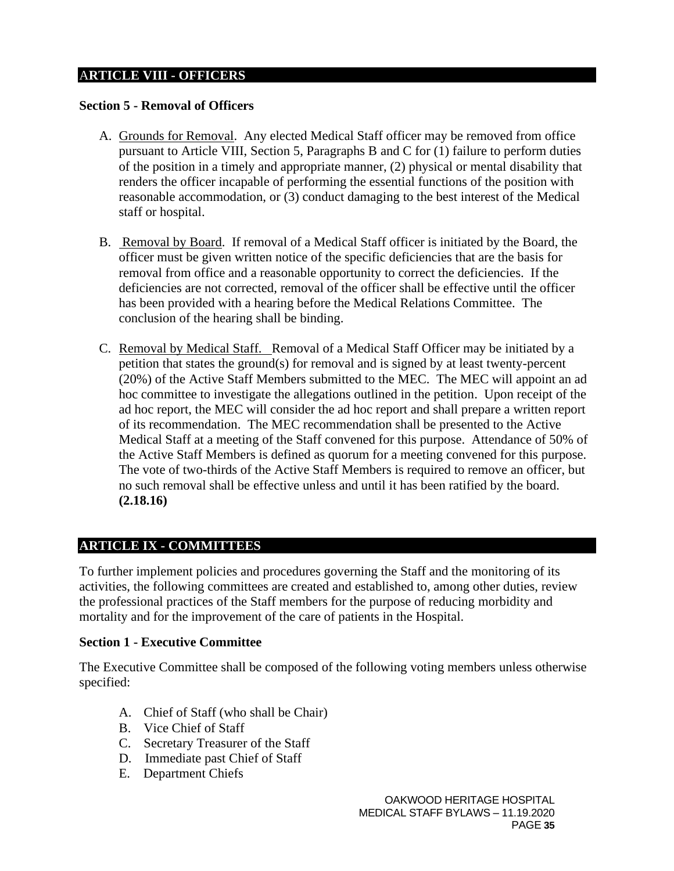## A**RTICLE VIII - OFFICERS**

#### <span id="page-34-0"></span>**Section 5 - Removal of Officers**

- A. Grounds for Removal. Any elected Medical Staff officer may be removed from office pursuant to Article VIII, Section 5, Paragraphs B and C for (1) failure to perform duties of the position in a timely and appropriate manner, (2) physical or mental disability that renders the officer incapable of performing the essential functions of the position with reasonable accommodation, or (3) conduct damaging to the best interest of the Medical staff or hospital.
- B. Removal by Board. If removal of a Medical Staff officer is initiated by the Board, the officer must be given written notice of the specific deficiencies that are the basis for removal from office and a reasonable opportunity to correct the deficiencies. If the deficiencies are not corrected, removal of the officer shall be effective until the officer has been provided with a hearing before the Medical Relations Committee. The conclusion of the hearing shall be binding.
- C. Removal by Medical Staff. Removal of a Medical Staff Officer may be initiated by a petition that states the ground(s) for removal and is signed by at least twenty-percent (20%) of the Active Staff Members submitted to the MEC. The MEC will appoint an ad hoc committee to investigate the allegations outlined in the petition. Upon receipt of the ad hoc report, the MEC will consider the ad hoc report and shall prepare a written report of its recommendation. The MEC recommendation shall be presented to the Active Medical Staff at a meeting of the Staff convened for this purpose. Attendance of 50% of the Active Staff Members is defined as quorum for a meeting convened for this purpose. The vote of two-thirds of the Active Staff Members is required to remove an officer, but no such removal shall be effective unless and until it has been ratified by the board. **(2.18.16)**

### <span id="page-34-1"></span>**ARTICLE IX - COMMITTEES**

To further implement policies and procedures governing the Staff and the monitoring of its activities, the following committees are created and established to, among other duties, review the professional practices of the Staff members for the purpose of reducing morbidity and mortality and for the improvement of the care of patients in the Hospital.

#### <span id="page-34-2"></span>**Section 1 - Executive Committee**

The Executive Committee shall be composed of the following voting members unless otherwise specified:

- A. Chief of Staff (who shall be Chair)
- B. Vice Chief of Staff
- C. Secretary Treasurer of the Staff
- D. Immediate past Chief of Staff
- E. Department Chiefs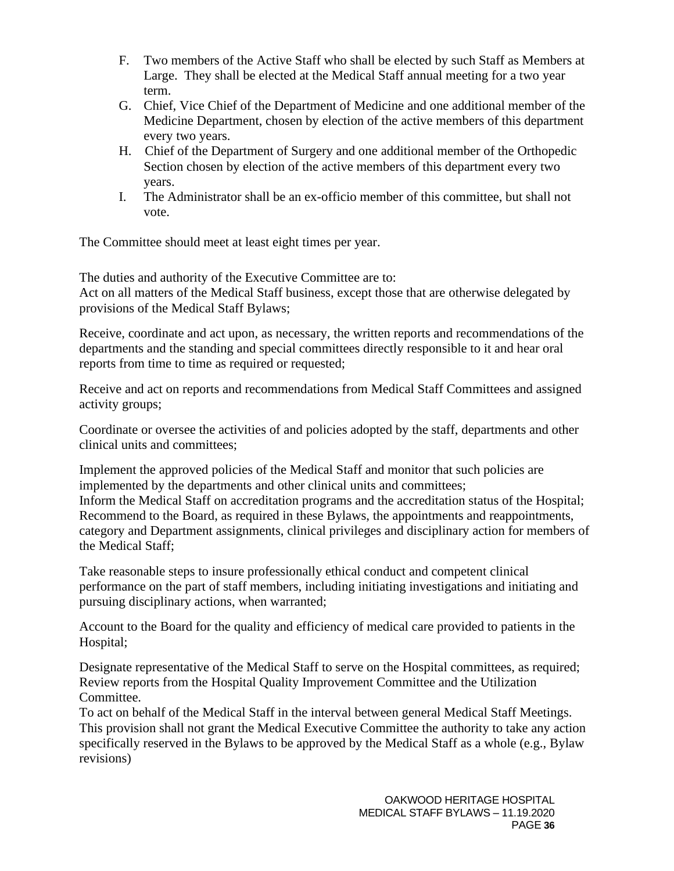- F. Two members of the Active Staff who shall be elected by such Staff as Members at Large. They shall be elected at the Medical Staff annual meeting for a two year term.
- G. Chief, Vice Chief of the Department of Medicine and one additional member of the Medicine Department, chosen by election of the active members of this department every two years.
- H. Chief of the Department of Surgery and one additional member of the Orthopedic Section chosen by election of the active members of this department every two years.
- I. The Administrator shall be an ex-officio member of this committee, but shall not vote.

The Committee should meet at least eight times per year.

The duties and authority of the Executive Committee are to: Act on all matters of the Medical Staff business, except those that are otherwise delegated by provisions of the Medical Staff Bylaws;

Receive, coordinate and act upon, as necessary, the written reports and recommendations of the departments and the standing and special committees directly responsible to it and hear oral reports from time to time as required or requested;

Receive and act on reports and recommendations from Medical Staff Committees and assigned activity groups;

Coordinate or oversee the activities of and policies adopted by the staff, departments and other clinical units and committees;

Implement the approved policies of the Medical Staff and monitor that such policies are implemented by the departments and other clinical units and committees; Inform the Medical Staff on accreditation programs and the accreditation status of the Hospital; Recommend to the Board, as required in these Bylaws, the appointments and reappointments, category and Department assignments, clinical privileges and disciplinary action for members of the Medical Staff;

Take reasonable steps to insure professionally ethical conduct and competent clinical performance on the part of staff members, including initiating investigations and initiating and pursuing disciplinary actions, when warranted;

Account to the Board for the quality and efficiency of medical care provided to patients in the Hospital;

Designate representative of the Medical Staff to serve on the Hospital committees, as required; Review reports from the Hospital Quality Improvement Committee and the Utilization Committee.

To act on behalf of the Medical Staff in the interval between general Medical Staff Meetings. This provision shall not grant the Medical Executive Committee the authority to take any action specifically reserved in the Bylaws to be approved by the Medical Staff as a whole (e.g., Bylaw revisions)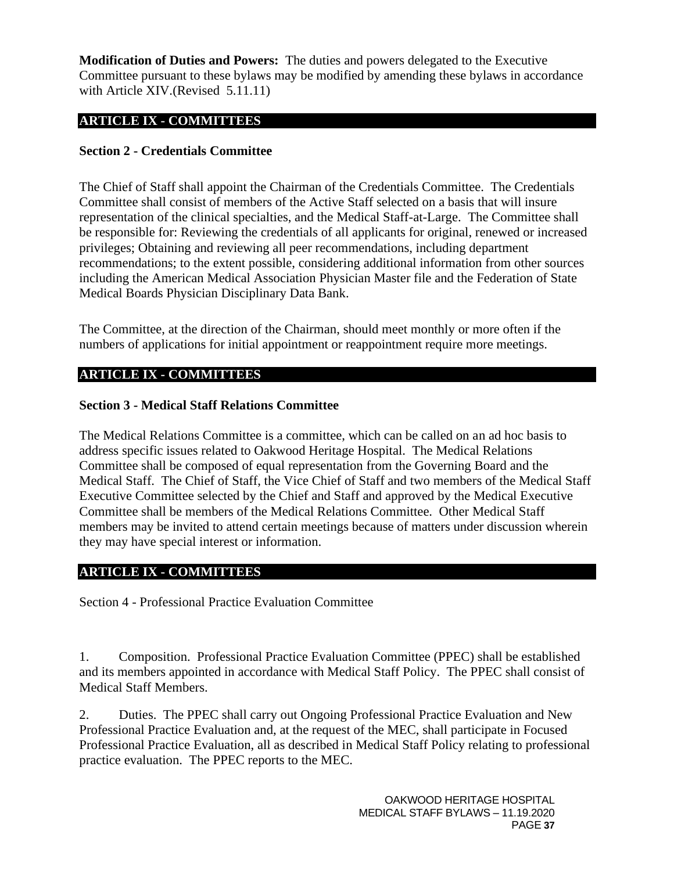**Modification of Duties and Powers:** The duties and powers delegated to the Executive Committee pursuant to these bylaws may be modified by amending these bylaws in accordance with Article XIV.(Revised 5.11.11)

## **ARTICLE IX - COMMITTEES**

### <span id="page-36-0"></span>**Section 2 - Credentials Committee**

The Chief of Staff shall appoint the Chairman of the Credentials Committee. The Credentials Committee shall consist of members of the Active Staff selected on a basis that will insure representation of the clinical specialties, and the Medical Staff-at-Large. The Committee shall be responsible for: Reviewing the credentials of all applicants for original, renewed or increased privileges; Obtaining and reviewing all peer recommendations, including department recommendations; to the extent possible, considering additional information from other sources including the American Medical Association Physician Master file and the Federation of State Medical Boards Physician Disciplinary Data Bank.

The Committee, at the direction of the Chairman, should meet monthly or more often if the numbers of applications for initial appointment or reappointment require more meetings.

## **ARTICLE IX - COMMITTEES**

### <span id="page-36-1"></span>**Section 3 - Medical Staff Relations Committee**

The Medical Relations Committee is a committee, which can be called on an ad hoc basis to address specific issues related to Oakwood Heritage Hospital. The Medical Relations Committee shall be composed of equal representation from the Governing Board and the Medical Staff. The Chief of Staff, the Vice Chief of Staff and two members of the Medical Staff Executive Committee selected by the Chief and Staff and approved by the Medical Executive Committee shall be members of the Medical Relations Committee. Other Medical Staff members may be invited to attend certain meetings because of matters under discussion wherein they may have special interest or information.

### **ARTICLE IX - COMMITTEES**

Section 4 - Professional Practice Evaluation Committee

1. Composition. Professional Practice Evaluation Committee (PPEC) shall be established and its members appointed in accordance with Medical Staff Policy. The PPEC shall consist of Medical Staff Members.

2. Duties. The PPEC shall carry out Ongoing Professional Practice Evaluation and New Professional Practice Evaluation and, at the request of the MEC, shall participate in Focused Professional Practice Evaluation, all as described in Medical Staff Policy relating to professional practice evaluation. The PPEC reports to the MEC.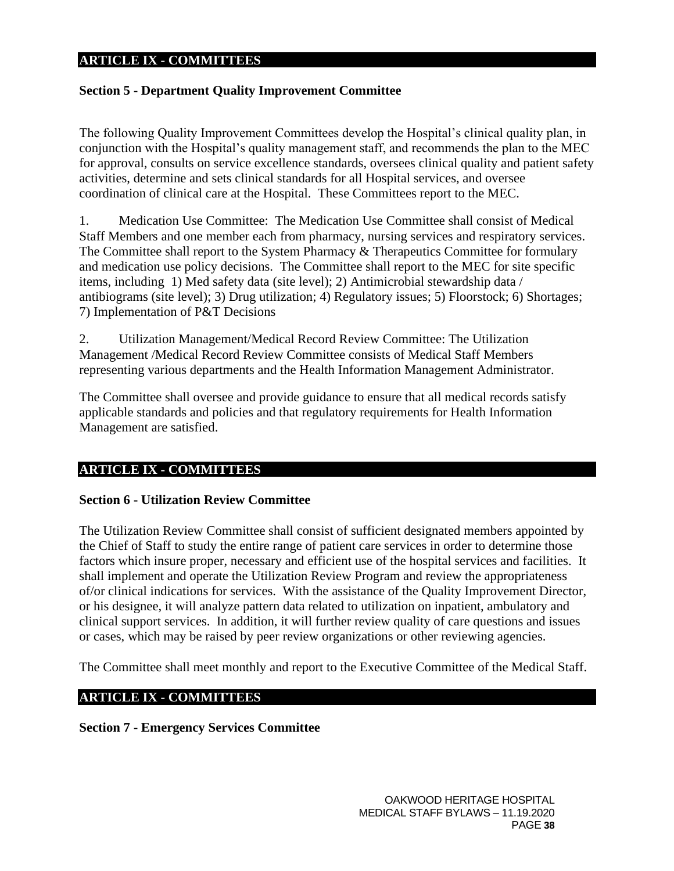#### **ARTICLE IX - COMMITTEES**

#### <span id="page-37-0"></span>**Section 5 - Department Quality Improvement Committee**

The following Quality Improvement Committees develop the Hospital's clinical quality plan, in conjunction with the Hospital's quality management staff, and recommends the plan to the MEC for approval, consults on service excellence standards, oversees clinical quality and patient safety activities, determine and sets clinical standards for all Hospital services, and oversee coordination of clinical care at the Hospital. These Committees report to the MEC.

1. Medication Use Committee: The Medication Use Committee shall consist of Medical Staff Members and one member each from pharmacy, nursing services and respiratory services. The Committee shall report to the System Pharmacy & Therapeutics Committee for formulary and medication use policy decisions. The Committee shall report to the MEC for site specific items, including 1) Med safety data (site level); 2) Antimicrobial stewardship data / antibiograms (site level); 3) Drug utilization; 4) Regulatory issues; 5) Floorstock; 6) Shortages; 7) Implementation of P&T Decisions

2. Utilization Management/Medical Record Review Committee: The Utilization Management /Medical Record Review Committee consists of Medical Staff Members representing various departments and the Health Information Management Administrator.

The Committee shall oversee and provide guidance to ensure that all medical records satisfy applicable standards and policies and that regulatory requirements for Health Information Management are satisfied.

### **ARTICLE IX - COMMITTEES**

#### <span id="page-37-1"></span>**Section 6 - Utilization Review Committee**

The Utilization Review Committee shall consist of sufficient designated members appointed by the Chief of Staff to study the entire range of patient care services in order to determine those factors which insure proper, necessary and efficient use of the hospital services and facilities. It shall implement and operate the Utilization Review Program and review the appropriateness of/or clinical indications for services. With the assistance of the Quality Improvement Director, or his designee, it will analyze pattern data related to utilization on inpatient, ambulatory and clinical support services. In addition, it will further review quality of care questions and issues or cases, which may be raised by peer review organizations or other reviewing agencies.

The Committee shall meet monthly and report to the Executive Committee of the Medical Staff.

### **ARTICLE IX - COMMITTEES**

<span id="page-37-2"></span>**Section 7 - Emergency Services Committee**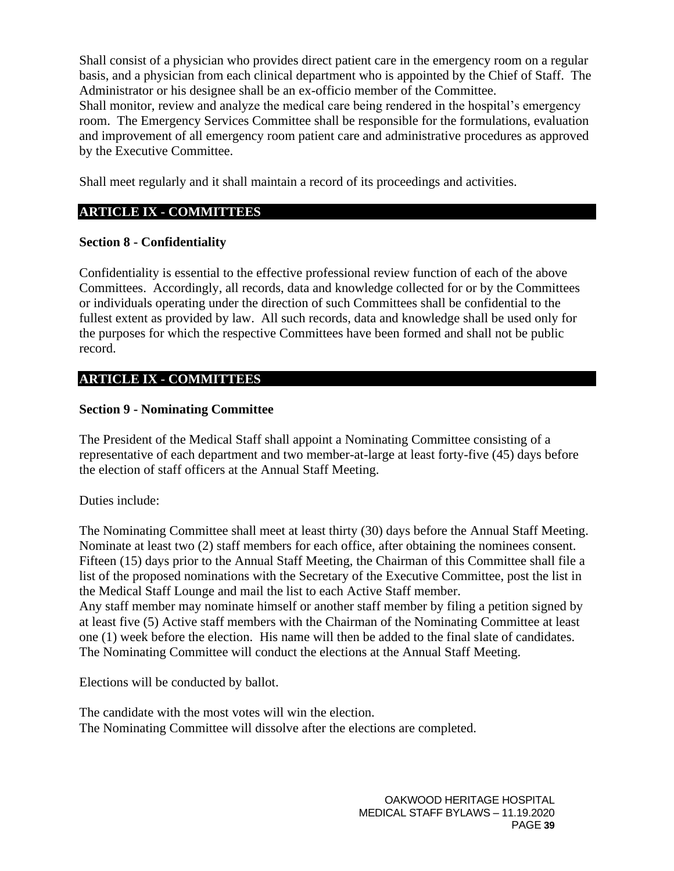Shall consist of a physician who provides direct patient care in the emergency room on a regular basis, and a physician from each clinical department who is appointed by the Chief of Staff. The Administrator or his designee shall be an ex-officio member of the Committee.

Shall monitor, review and analyze the medical care being rendered in the hospital's emergency room. The Emergency Services Committee shall be responsible for the formulations, evaluation and improvement of all emergency room patient care and administrative procedures as approved by the Executive Committee.

Shall meet regularly and it shall maintain a record of its proceedings and activities.

# **ARTICLE IX - COMMITTEES**

## <span id="page-38-0"></span>**Section 8 - Confidentiality**

Confidentiality is essential to the effective professional review function of each of the above Committees. Accordingly, all records, data and knowledge collected for or by the Committees or individuals operating under the direction of such Committees shall be confidential to the fullest extent as provided by law. All such records, data and knowledge shall be used only for the purposes for which the respective Committees have been formed and shall not be public record.

# **ARTICLE IX - COMMITTEES**

## <span id="page-38-1"></span>**Section 9 - Nominating Committee**

The President of the Medical Staff shall appoint a Nominating Committee consisting of a representative of each department and two member-at-large at least forty-five (45) days before the election of staff officers at the Annual Staff Meeting.

Duties include:

The Nominating Committee shall meet at least thirty (30) days before the Annual Staff Meeting. Nominate at least two (2) staff members for each office, after obtaining the nominees consent. Fifteen (15) days prior to the Annual Staff Meeting, the Chairman of this Committee shall file a list of the proposed nominations with the Secretary of the Executive Committee, post the list in the Medical Staff Lounge and mail the list to each Active Staff member.

Any staff member may nominate himself or another staff member by filing a petition signed by at least five (5) Active staff members with the Chairman of the Nominating Committee at least one (1) week before the election. His name will then be added to the final slate of candidates. The Nominating Committee will conduct the elections at the Annual Staff Meeting.

Elections will be conducted by ballot.

The candidate with the most votes will win the election. The Nominating Committee will dissolve after the elections are completed.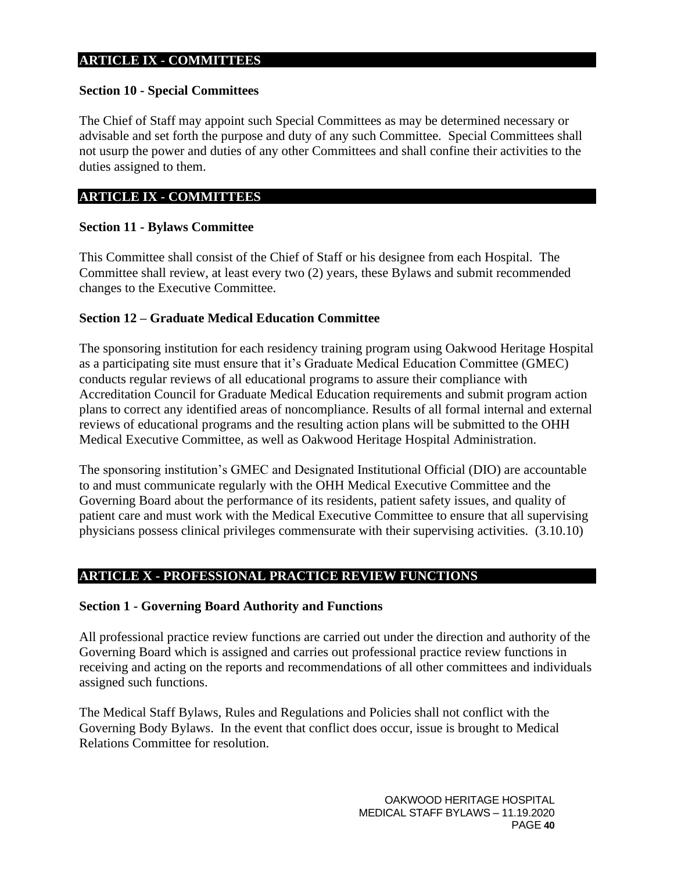#### **ARTICLE IX - COMMITTEES**

#### <span id="page-39-0"></span>**Section 10 - Special Committees**

The Chief of Staff may appoint such Special Committees as may be determined necessary or advisable and set forth the purpose and duty of any such Committee. Special Committees shall not usurp the power and duties of any other Committees and shall confine their activities to the duties assigned to them.

#### **ARTICLE IX - COMMITTEES**

#### <span id="page-39-1"></span>**Section 11 - Bylaws Committee**

This Committee shall consist of the Chief of Staff or his designee from each Hospital. The Committee shall review, at least every two (2) years, these Bylaws and submit recommended changes to the Executive Committee.

#### **Section 12 – Graduate Medical Education Committee**

The sponsoring institution for each residency training program using Oakwood Heritage Hospital as a participating site must ensure that it's Graduate Medical Education Committee (GMEC) conducts regular reviews of all educational programs to assure their compliance with Accreditation Council for Graduate Medical Education requirements and submit program action plans to correct any identified areas of noncompliance. Results of all formal internal and external reviews of educational programs and the resulting action plans will be submitted to the OHH Medical Executive Committee, as well as Oakwood Heritage Hospital Administration.

The sponsoring institution's GMEC and Designated Institutional Official (DIO) are accountable to and must communicate regularly with the OHH Medical Executive Committee and the Governing Board about the performance of its residents, patient safety issues, and quality of patient care and must work with the Medical Executive Committee to ensure that all supervising physicians possess clinical privileges commensurate with their supervising activities. (3.10.10)

### <span id="page-39-2"></span>**ARTICLE X - PROFESSIONAL PRACTICE REVIEW FUNCTIONS**

#### <span id="page-39-3"></span>**Section 1 - Governing Board Authority and Functions**

All professional practice review functions are carried out under the direction and authority of the Governing Board which is assigned and carries out professional practice review functions in receiving and acting on the reports and recommendations of all other committees and individuals assigned such functions.

The Medical Staff Bylaws, Rules and Regulations and Policies shall not conflict with the Governing Body Bylaws. In the event that conflict does occur, issue is brought to Medical Relations Committee for resolution.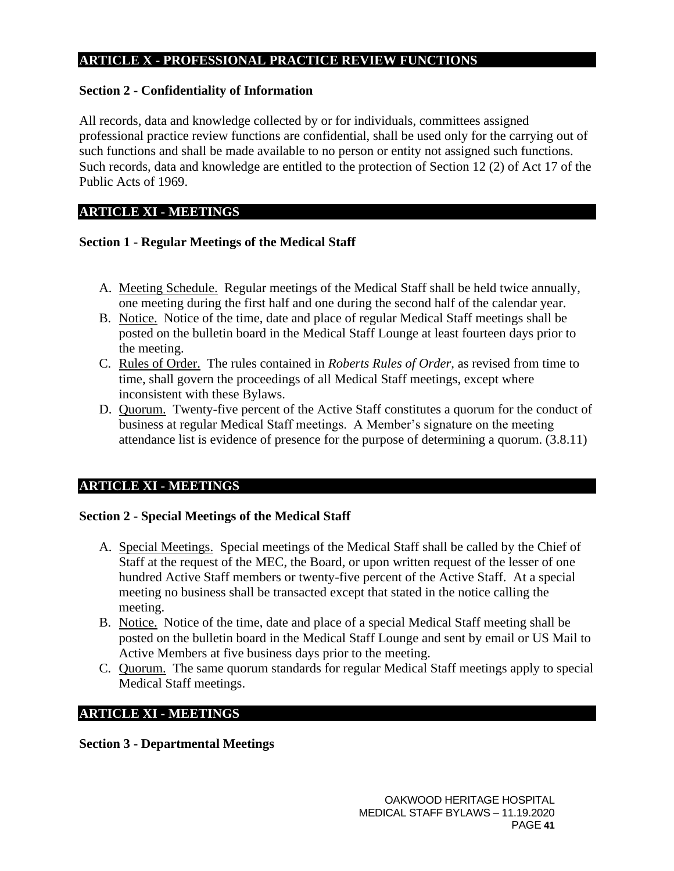### **ARTICLE X - PROFESSIONAL PRACTICE REVIEW FUNCTIONS**

### <span id="page-40-0"></span>**Section 2 - Confidentiality of Information**

All records, data and knowledge collected by or for individuals, committees assigned professional practice review functions are confidential, shall be used only for the carrying out of such functions and shall be made available to no person or entity not assigned such functions. Such records, data and knowledge are entitled to the protection of Section 12 (2) of Act 17 of the Public Acts of 1969.

### **ARTICLE XI - MEETINGS**

### <span id="page-40-1"></span>**Section 1 - Regular Meetings of the Medical Staff**

- A. Meeting Schedule. Regular meetings of the Medical Staff shall be held twice annually, one meeting during the first half and one during the second half of the calendar year.
- B. Notice. Notice of the time, date and place of regular Medical Staff meetings shall be posted on the bulletin board in the Medical Staff Lounge at least fourteen days prior to the meeting.
- C. Rules of Order. The rules contained in *Roberts Rules of Order,* as revised from time to time, shall govern the proceedings of all Medical Staff meetings, except where inconsistent with these Bylaws.
- D. Quorum. Twenty-five percent of the Active Staff constitutes a quorum for the conduct of business at regular Medical Staff meetings. A Member's signature on the meeting attendance list is evidence of presence for the purpose of determining a quorum. (3.8.11)

### **ARTICLE XI - MEETINGS**

### <span id="page-40-2"></span>**Section 2 - Special Meetings of the Medical Staff**

- A. Special Meetings. Special meetings of the Medical Staff shall be called by the Chief of Staff at the request of the MEC, the Board, or upon written request of the lesser of one hundred Active Staff members or twenty-five percent of the Active Staff. At a special meeting no business shall be transacted except that stated in the notice calling the meeting.
- B. Notice. Notice of the time, date and place of a special Medical Staff meeting shall be posted on the bulletin board in the Medical Staff Lounge and sent by email or US Mail to Active Members at five business days prior to the meeting.
- C. Quorum. The same quorum standards for regular Medical Staff meetings apply to special Medical Staff meetings.

### **ARTICLE XI - MEETINGS**

<span id="page-40-3"></span>**Section 3 - Departmental Meetings**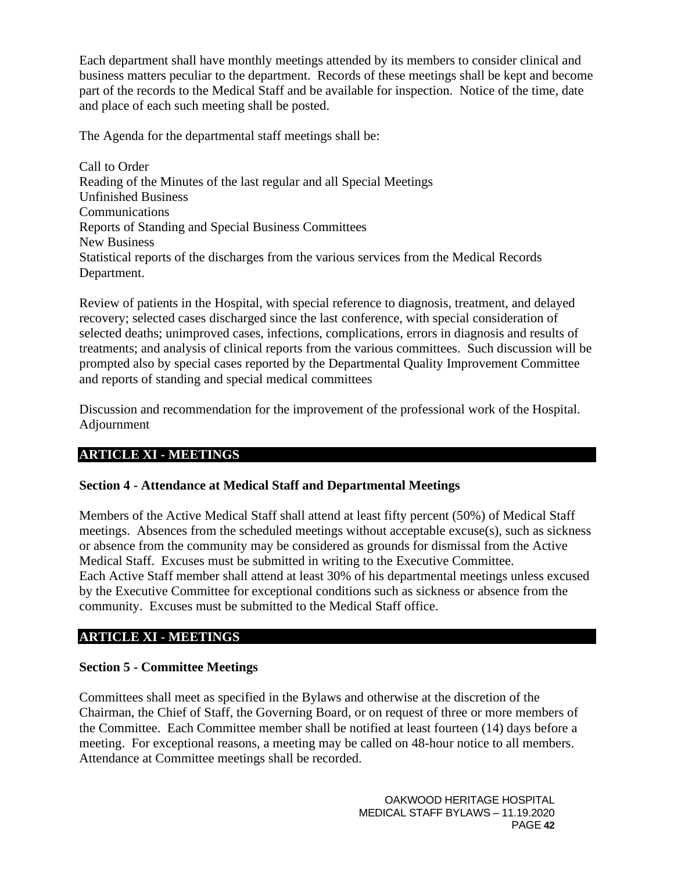Each department shall have monthly meetings attended by its members to consider clinical and business matters peculiar to the department. Records of these meetings shall be kept and become part of the records to the Medical Staff and be available for inspection. Notice of the time, date and place of each such meeting shall be posted.

The Agenda for the departmental staff meetings shall be:

Call to Order Reading of the Minutes of the last regular and all Special Meetings Unfinished Business **Communications** Reports of Standing and Special Business Committees New Business Statistical reports of the discharges from the various services from the Medical Records Department.

Review of patients in the Hospital, with special reference to diagnosis, treatment, and delayed recovery; selected cases discharged since the last conference, with special consideration of selected deaths; unimproved cases, infections, complications, errors in diagnosis and results of treatments; and analysis of clinical reports from the various committees. Such discussion will be prompted also by special cases reported by the Departmental Quality Improvement Committee and reports of standing and special medical committees

Discussion and recommendation for the improvement of the professional work of the Hospital. Adjournment

## **ARTICLE XI - MEETINGS**

## <span id="page-41-0"></span>**Section 4 - Attendance at Medical Staff and Departmental Meetings**

Members of the Active Medical Staff shall attend at least fifty percent (50%) of Medical Staff meetings. Absences from the scheduled meetings without acceptable excuse(s), such as sickness or absence from the community may be considered as grounds for dismissal from the Active Medical Staff. Excuses must be submitted in writing to the Executive Committee. Each Active Staff member shall attend at least 30% of his departmental meetings unless excused by the Executive Committee for exceptional conditions such as sickness or absence from the community. Excuses must be submitted to the Medical Staff office.

### **ARTICLE XI - MEETINGS**

### <span id="page-41-1"></span>**Section 5 - Committee Meetings**

Committees shall meet as specified in the Bylaws and otherwise at the discretion of the Chairman, the Chief of Staff, the Governing Board, or on request of three or more members of the Committee. Each Committee member shall be notified at least fourteen (14) days before a meeting. For exceptional reasons, a meeting may be called on 48-hour notice to all members. Attendance at Committee meetings shall be recorded.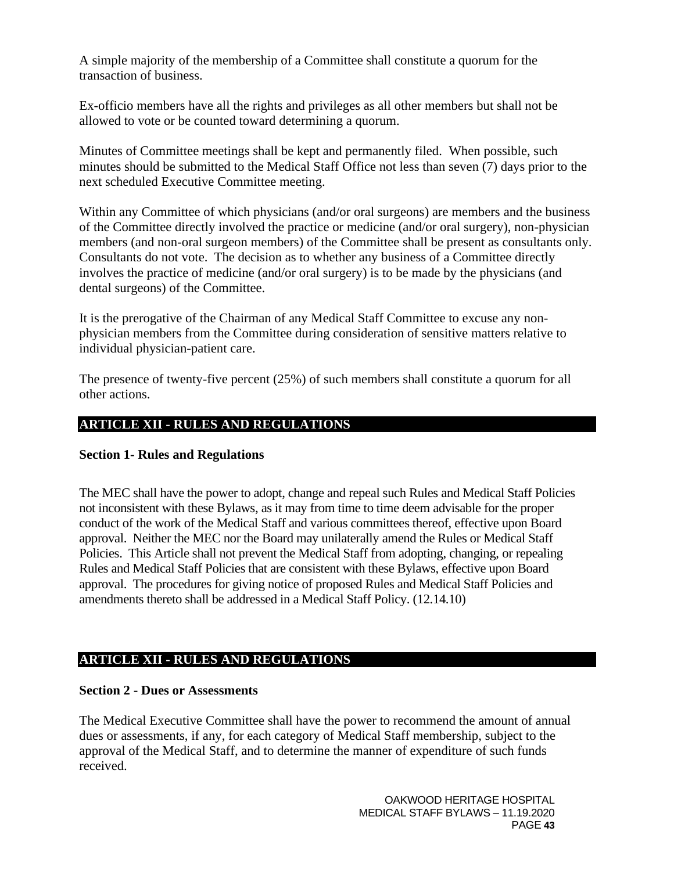A simple majority of the membership of a Committee shall constitute a quorum for the transaction of business.

Ex-officio members have all the rights and privileges as all other members but shall not be allowed to vote or be counted toward determining a quorum.

Minutes of Committee meetings shall be kept and permanently filed. When possible, such minutes should be submitted to the Medical Staff Office not less than seven (7) days prior to the next scheduled Executive Committee meeting.

Within any Committee of which physicians (and/or oral surgeons) are members and the business of the Committee directly involved the practice or medicine (and/or oral surgery), non-physician members (and non-oral surgeon members) of the Committee shall be present as consultants only. Consultants do not vote. The decision as to whether any business of a Committee directly involves the practice of medicine (and/or oral surgery) is to be made by the physicians (and dental surgeons) of the Committee.

It is the prerogative of the Chairman of any Medical Staff Committee to excuse any nonphysician members from the Committee during consideration of sensitive matters relative to individual physician-patient care.

The presence of twenty-five percent (25%) of such members shall constitute a quorum for all other actions.

## <span id="page-42-0"></span>**ARTICLE XII - RULES AND REGULATIONS**

#### <span id="page-42-1"></span>**Section 1- Rules and Regulations**

The MEC shall have the power to adopt, change and repeal such Rules and Medical Staff Policies not inconsistent with these Bylaws, as it may from time to time deem advisable for the proper conduct of the work of the Medical Staff and various committees thereof, effective upon Board approval. Neither the MEC nor the Board may unilaterally amend the Rules or Medical Staff Policies. This Article shall not prevent the Medical Staff from adopting, changing, or repealing Rules and Medical Staff Policies that are consistent with these Bylaws, effective upon Board approval. The procedures for giving notice of proposed Rules and Medical Staff Policies and amendments thereto shall be addressed in a Medical Staff Policy. (12.14.10)

### **ARTICLE XII - RULES AND REGULATIONS**

#### <span id="page-42-2"></span>**Section 2 - Dues or Assessments**

The Medical Executive Committee shall have the power to recommend the amount of annual dues or assessments, if any, for each category of Medical Staff membership, subject to the approval of the Medical Staff, and to determine the manner of expenditure of such funds received.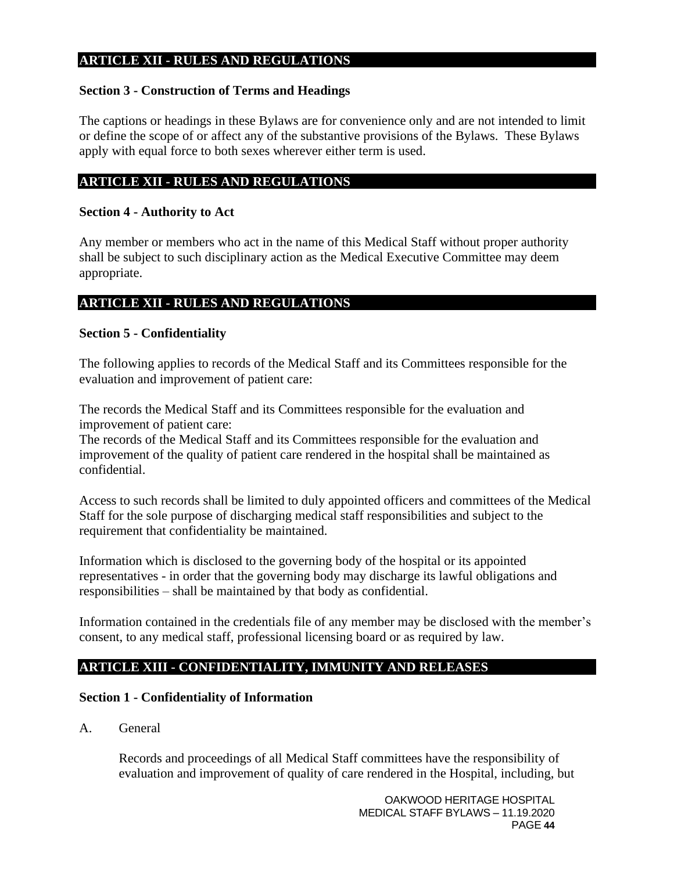### **ARTICLE XII - RULES AND REGULATIONS**

#### <span id="page-43-0"></span>**Section 3 - Construction of Terms and Headings**

The captions or headings in these Bylaws are for convenience only and are not intended to limit or define the scope of or affect any of the substantive provisions of the Bylaws. These Bylaws apply with equal force to both sexes wherever either term is used.

#### **ARTICLE XII - RULES AND REGULATIONS**

#### <span id="page-43-1"></span>**Section 4 - Authority to Act**

Any member or members who act in the name of this Medical Staff without proper authority shall be subject to such disciplinary action as the Medical Executive Committee may deem appropriate.

# **ARTICLE XII - RULES AND REGULATIONS**

#### <span id="page-43-2"></span>**Section 5 - Confidentiality**

The following applies to records of the Medical Staff and its Committees responsible for the evaluation and improvement of patient care:

The records the Medical Staff and its Committees responsible for the evaluation and improvement of patient care:

The records of the Medical Staff and its Committees responsible for the evaluation and improvement of the quality of patient care rendered in the hospital shall be maintained as confidential.

Access to such records shall be limited to duly appointed officers and committees of the Medical Staff for the sole purpose of discharging medical staff responsibilities and subject to the requirement that confidentiality be maintained.

Information which is disclosed to the governing body of the hospital or its appointed representatives - in order that the governing body may discharge its lawful obligations and responsibilities – shall be maintained by that body as confidential.

Information contained in the credentials file of any member may be disclosed with the member's consent, to any medical staff, professional licensing board or as required by law.

### <span id="page-43-3"></span>**ARTICLE XIII - CONFIDENTIALITY, IMMUNITY AND RELEASES**

#### <span id="page-43-4"></span>**Section 1 - Confidentiality of Information**

A. General

Records and proceedings of all Medical Staff committees have the responsibility of evaluation and improvement of quality of care rendered in the Hospital, including, but

> OAKWOOD HERITAGE HOSPITAL MEDICAL STAFF BYLAWS – 11.19.2020 PAGE **44**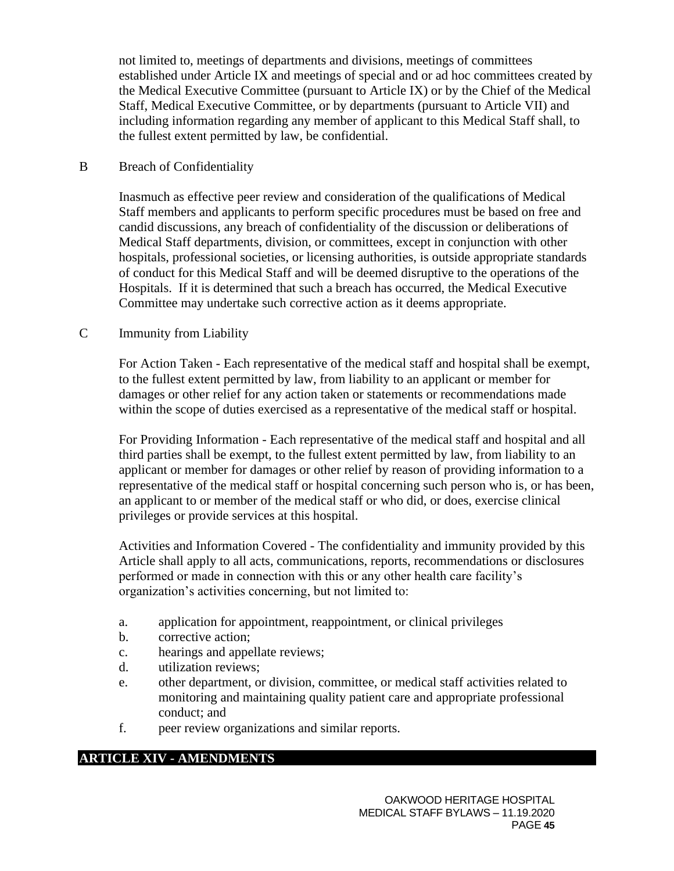not limited to, meetings of departments and divisions, meetings of committees established under Article IX and meetings of special and or ad hoc committees created by the Medical Executive Committee (pursuant to Article IX) or by the Chief of the Medical Staff, Medical Executive Committee, or by departments (pursuant to Article VII) and including information regarding any member of applicant to this Medical Staff shall, to the fullest extent permitted by law, be confidential.

#### B Breach of Confidentiality

Inasmuch as effective peer review and consideration of the qualifications of Medical Staff members and applicants to perform specific procedures must be based on free and candid discussions, any breach of confidentiality of the discussion or deliberations of Medical Staff departments, division, or committees, except in conjunction with other hospitals, professional societies, or licensing authorities, is outside appropriate standards of conduct for this Medical Staff and will be deemed disruptive to the operations of the Hospitals. If it is determined that such a breach has occurred, the Medical Executive Committee may undertake such corrective action as it deems appropriate.

#### C Immunity from Liability

For Action Taken - Each representative of the medical staff and hospital shall be exempt, to the fullest extent permitted by law, from liability to an applicant or member for damages or other relief for any action taken or statements or recommendations made within the scope of duties exercised as a representative of the medical staff or hospital.

For Providing Information - Each representative of the medical staff and hospital and all third parties shall be exempt, to the fullest extent permitted by law, from liability to an applicant or member for damages or other relief by reason of providing information to a representative of the medical staff or hospital concerning such person who is, or has been, an applicant to or member of the medical staff or who did, or does, exercise clinical privileges or provide services at this hospital.

Activities and Information Covered - The confidentiality and immunity provided by this Article shall apply to all acts, communications, reports, recommendations or disclosures performed or made in connection with this or any other health care facility's organization's activities concerning, but not limited to:

- a. application for appointment, reappointment, or clinical privileges
- b. corrective action;
- c. hearings and appellate reviews;
- d. utilization reviews;
- e. other department, or division, committee, or medical staff activities related to monitoring and maintaining quality patient care and appropriate professional conduct; and
- f. peer review organizations and similar reports.

### <span id="page-44-0"></span>**ARTICLE XIV - AMENDMENTS**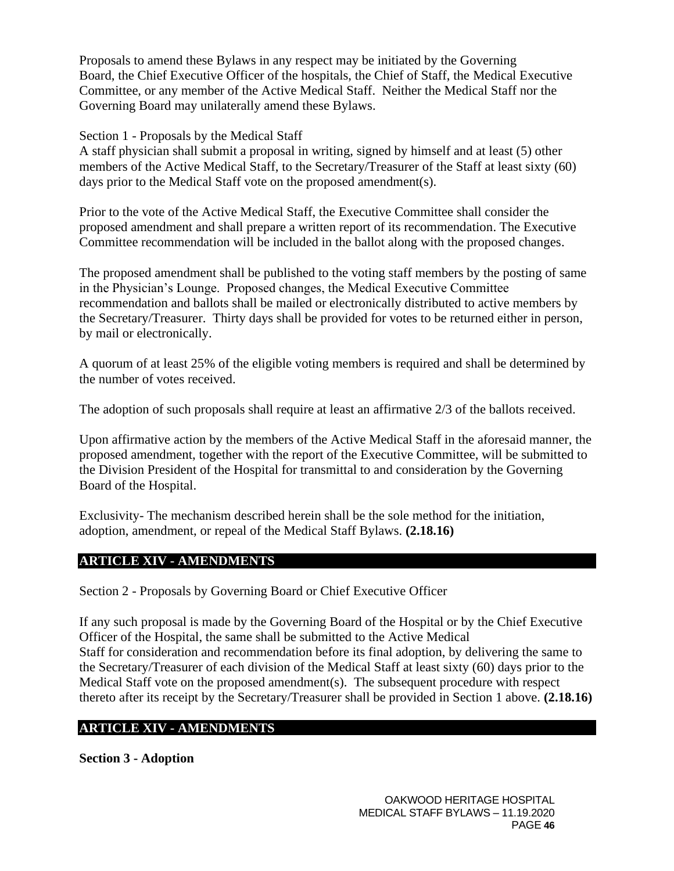Proposals to amend these Bylaws in any respect may be initiated by the Governing Board, the Chief Executive Officer of the hospitals, the Chief of Staff, the Medical Executive Committee, or any member of the Active Medical Staff. Neither the Medical Staff nor the Governing Board may unilaterally amend these Bylaws.

#### <span id="page-45-0"></span>Section 1 - Proposals by the Medical Staff

A staff physician shall submit a proposal in writing, signed by himself and at least (5) other members of the Active Medical Staff, to the Secretary/Treasurer of the Staff at least sixty (60) days prior to the Medical Staff vote on the proposed amendment(s).

Prior to the vote of the Active Medical Staff, the Executive Committee shall consider the proposed amendment and shall prepare a written report of its recommendation. The Executive Committee recommendation will be included in the ballot along with the proposed changes.

The proposed amendment shall be published to the voting staff members by the posting of same in the Physician's Lounge. Proposed changes, the Medical Executive Committee recommendation and ballots shall be mailed or electronically distributed to active members by the Secretary/Treasurer. Thirty days shall be provided for votes to be returned either in person, by mail or electronically.

A quorum of at least 25% of the eligible voting members is required and shall be determined by the number of votes received.

The adoption of such proposals shall require at least an affirmative 2/3 of the ballots received.

Upon affirmative action by the members of the Active Medical Staff in the aforesaid manner, the proposed amendment, together with the report of the Executive Committee, will be submitted to the Division President of the Hospital for transmittal to and consideration by the Governing Board of the Hospital.

Exclusivity- The mechanism described herein shall be the sole method for the initiation, adoption, amendment, or repeal of the Medical Staff Bylaws. **(2.18.16)**

### **ARTICLE XIV - AMENDMENTS**

<span id="page-45-1"></span>Section 2 - Proposals by Governing Board or Chief Executive Officer

If any such proposal is made by the Governing Board of the Hospital or by the Chief Executive Officer of the Hospital, the same shall be submitted to the Active Medical Staff for consideration and recommendation before its final adoption, by delivering the same to the Secretary/Treasurer of each division of the Medical Staff at least sixty (60) days prior to the Medical Staff vote on the proposed amendment(s). The subsequent procedure with respect thereto after its receipt by the Secretary/Treasurer shall be provided in Section 1 above. **(2.18.16)**

### **ARTICLE XIV - AMENDMENTS**

<span id="page-45-2"></span>**Section 3 - Adoption**